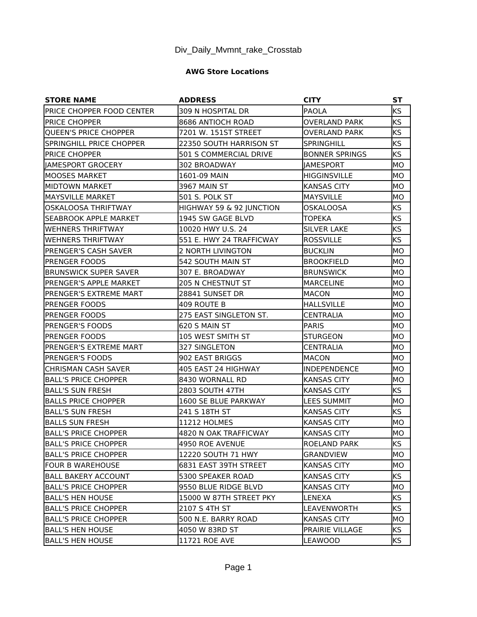## **AWG Store Locations**

| <b>STORE NAME</b>             | <b>ADDRESS</b>           | <b>CITY</b>           | <b>ST</b> |
|-------------------------------|--------------------------|-----------------------|-----------|
| PRICE CHOPPER FOOD CENTER     | 309 N HOSPITAL DR        | <b>PAOLA</b>          | <b>KS</b> |
| <b>PRICE CHOPPER</b>          | 8686 ANTIOCH ROAD        | <b>OVERLAND PARK</b>  | <b>KS</b> |
| QUEEN'S PRICE CHOPPER         | 7201 W. 151ST STREET     | <b>OVERLAND PARK</b>  | <b>KS</b> |
| SPRINGHILL PRICE CHOPPER      | 22350 SOUTH HARRISON ST  | <b>SPRINGHILL</b>     | ks        |
| PRICE CHOPPER                 | 501 S COMMERCIAL DRIVE   | <b>BONNER SPRINGS</b> | <b>KS</b> |
| AMESPORT GROCERY              | 302 BROADWAY             | <b>JAMESPORT</b>      | MО        |
| lMOOSES MARKET                | 1601-09 MAIN             | <b>HIGGINSVILLE</b>   | IMO       |
| IMIDTOWN MARKET               | 3967 MAIN ST             | <b>KANSAS CITY</b>    | MО        |
| IMAYSVILLE MARKET             | <b>501 S. POLK ST</b>    | <b>MAYSVILLE</b>      | IMO       |
| <b>OSKALOOSA THRIFTWAY</b>    | HIGHWAY 59 & 92 JUNCTION | <b>OSKALOOSA</b>      | <b>KS</b> |
| ISEABROOK APPLE MARKET        | 1945 SW GAGE BLVD        | <b>TOPEKA</b>         | KS        |
| WEHNERS THRIFTWAY             | 10020 HWY U.S. 24        | <b>SILVER LAKE</b>    | <b>KS</b> |
| <b>WEHNERS THRIFTWAY</b>      | 551 E. HWY 24 TRAFFICWAY | <b>ROSSVILLE</b>      | <b>KS</b> |
| <b>PRENGER'S CASH SAVER</b>   | 2 NORTH LIVINGTON        | BUCKLIN               | MО        |
| IPRENGER FOODS                | 542 SOUTH MAIN ST        | <b>BROOKFIELD</b>     | IMO       |
| <b>BRUNSWICK SUPER SAVER</b>  | 307 E. BROADWAY          | <b>BRUNSWICK</b>      | IMO       |
| IPRENGER'S APPLE MARKET       | <b>205 N CHESTNUT ST</b> | <b>MARCELINE</b>      | IMO       |
| <b>PRENGER'S EXTREME MART</b> | 28841 SUNSET DR          | MACON                 | MО        |
| IPRENGER FOODS                | 409 ROUTE B              | <b>HALLSVILLE</b>     | MО        |
| IPRENGER FOODS                | 275 EAST SINGLETON ST.   | CENTRALIA             | IMO       |
| <b>PRENGER'S FOODS</b>        | 620 S MAIN ST            | PARIS                 | MО        |
| IPRENGER FOODS                | 105 WEST SMITH ST        | <b>STURGEON</b>       | IMO       |
| PRENGER'S EXTREME MART        | 327 SINGLETON            | CENTRALIA             | IMO       |
| <b>IPRENGER'S FOODS</b>       | 902 EAST BRIGGS          | <b>IMACON</b>         | IMO       |
| <b>CHRISMAN CASH SAVER</b>    | 405 EAST 24 HIGHWAY      | INDEPENDENCE          | MО        |
| <b>BALL'S PRICE CHOPPER</b>   | 8430 WORNALL RD          | <b>KANSAS CITY</b>    | IMO       |
| lBALL'S SUN FRESH             | 2803 SOUTH 47TH          | <b>KANSAS CITY</b>    | <b>KS</b> |
| <b>BALLS PRICE CHOPPER</b>    | 1600 SE BLUE PARKWAY     | <b>LEES SUMMIT</b>    | MO        |
| BALL'S SUN FRESH              | 241 S 18TH ST            | <b>KANSAS CITY</b>    | <b>KS</b> |
| lBALLS SUN FRESH              | <b>11212 HOLMES</b>      | <b>KANSAS CITY</b>    | MО        |
| <b>BALL'S PRICE CHOPPER</b>   | 4820 N OAK TRAFFICWAY    | <b>KANSAS CITY</b>    | MO        |
| BALL'S PRICE CHOPPER          | 4950 ROE AVENUE          | ROELAND PARK          | <b>KS</b> |
| <b>IBALL'S PRICE CHOPPER</b>  | 12220 SOUTH 71 HWY       | GRANDVIEW             | IMO       |
| <b>FOUR B WAREHOUSE</b>       | 6831 EAST 39TH STREET    | <b>KANSAS CITY</b>    | MO.       |
| <b>BALL BAKERY ACCOUNT</b>    | 5300 SPEAKER ROAD        | <b>KANSAS CITY</b>    | KS.       |
| <b>BALL'S PRICE CHOPPER</b>   | 9550 BLUE RIDGE BLVD     | KANSAS CITY           | IMO.      |
| <b>BALL'S HEN HOUSE</b>       | 15000 W 87TH STREET PKY  | LENEXA                | KS        |
| <b>BALL'S PRICE CHOPPER</b>   | 2107 S 4TH ST            | LEAVENWORTH           | <b>KS</b> |
| <b>BALL'S PRICE CHOPPER</b>   | 500 N.E. BARRY ROAD      | <b>KANSAS CITY</b>    | MО        |
| <b>BALL'S HEN HOUSE</b>       | 4050 W 83RD ST           | PRAIRIE VILLAGE       | <b>KS</b> |
| <b>BALL'S HEN HOUSE</b>       | 11721 ROE AVE            | LEAWOOD               | <b>KS</b> |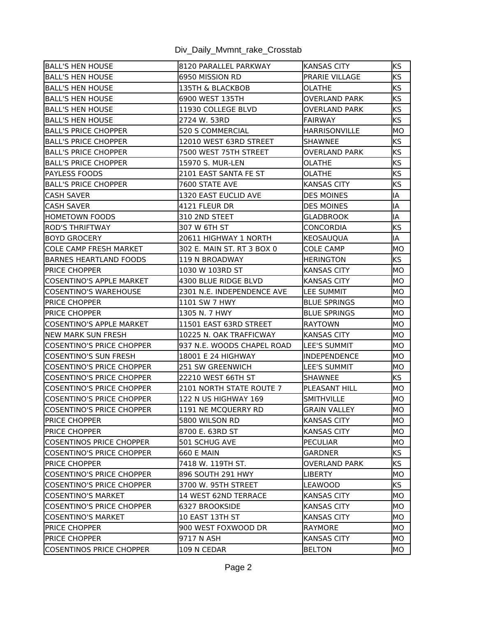| <b>BALL'S HEN HOUSE</b>          | 8120 PARALLEL PARKWAY      | <b>KANSAS CITY</b>    | <b>KS</b> |
|----------------------------------|----------------------------|-----------------------|-----------|
| <b>BALL'S HEN HOUSE</b>          | 6950 MISSION RD            | <b>PRARIE VILLAGE</b> | <b>KS</b> |
| BALL'S HEN HOUSE                 | 135TH & BLACKBOB           | OLATHE                | <b>KS</b> |
| lBALL'S HEN HOUSE                | 6900 WEST 135TH            | OVERLAND PARK         | <b>KS</b> |
| <b>BALL'S HEN HOUSE</b>          | 11930 COLLEGE BLVD         | OVERLAND PARK         | <b>KS</b> |
| lBALL'S HEN HOUSE                | 2724 W. 53RD               | FAIRWAY               | <b>KS</b> |
| IBALL'S PRICE CHOPPER            | <b>520 S COMMERCIAL</b>    | HARRISONVILLE         | MО        |
| <b>IBALL'S PRICE CHOPPER</b>     | 12010 WEST 63RD STREET     | <b>SHAWNEE</b>        | <b>KS</b> |
| <b>BALL'S PRICE CHOPPER</b>      | 7500 WEST 75TH STREET      | OVERLAND PARK         | <b>KS</b> |
| <b>BALL'S PRICE CHOPPER</b>      | 15970 S. MUR-LEN           | OLATHE                | <b>KS</b> |
| IPAYLESS FOODS                   | 2101 EAST SANTA FE ST      | OLATHE                | <b>KS</b> |
| <b>BALL'S PRICE CHOPPER</b>      | 7600 STATE AVE             | <b>KANSAS CITY</b>    | <b>KS</b> |
| lCASH SAVER                      | 1320 EAST EUCLID AVE       | <b>DES MOINES</b>     | lА        |
| <b>CASH SAVER</b>                | 4121 FLEUR DR              | <b>DES MOINES</b>     | IA        |
| <b>HOMETOWN FOODS</b>            | 310 2ND STEET              | GLADBROOK             | IA        |
| IROD'S THRIFTWAY                 | 307 W 6TH ST               | CONCORDIA             | <b>KS</b> |
| BOYD GROCERY                     | 20611 HIGHWAY 1 NORTH      | <b>KEOSAUQUA</b>      | IA        |
| <b>ICOLE CAMP FRESH MARKET</b>   | 302 E. MAIN ST. RT 3 BOX 0 | <b>COLE CAMP</b>      | IMO.      |
| <b>BARNES HEARTLAND FOODS</b>    | <b>119 N BROADWAY</b>      | <b>HERINGTON</b>      | <b>KS</b> |
| <b>IPRICE CHOPPER</b>            | 1030 W 103RD ST            | <b>KANSAS CITY</b>    | IMO.      |
| COSENTINO'S APPLE MARKET         | 4300 BLUE RIDGE BLVD       | <b>KANSAS CITY</b>    | IMO.      |
| COSENTINO'S WAREHOUSE            | 2301 N.E. INDEPENDENCE AVE | LEE SUMMIT            | MO        |
| IPRICE CHOPPER                   | 1101 SW 7 HWY              | <b>BLUE SPRINGS</b>   | IMO.      |
| IPRICE CHOPPER                   | 1305 N. 7 HWY              | <b>BLUE SPRINGS</b>   | IMO.      |
| ICOSENTINO'S APPLE MARKET        | 11501 EAST 63RD STREET     | <b>IRAYTOWN</b>       | IMO.      |
| <b>INEW MARK SUN FRESH</b>       | 10225 N. OAK TRAFFICWAY    | <b>KANSAS CITY</b>    | MО        |
| COSENTINO'S PRICE CHOPPER        | 937 N.E. WOODS CHAPEL ROAD | <b>LEE'S SUMMIT</b>   | MО        |
| COSENTINO'S SUN FRESH            | 18001 E 24 HIGHWAY         | INDEPENDENCE          | MО        |
| COSENTINO'S PRICE CHOPPER        | 251 SW GREENWICH           | LEE'S SUMMIT          | MO        |
| COSENTINO'S PRICE CHOPPER        | 22210 WEST 66TH ST         | <b>SHAWNEE</b>        | <b>KS</b> |
| COSENTINO'S PRICE CHOPPER        | 2101 NORTH STATE ROUTE 7   | PLEASANT HILL         | IMO.      |
| COSENTINO'S PRICE CHOPPER        | 122 N US HIGHWAY 169       | <b>SMITHVILLE</b>     | MO        |
| <b>COSENTINO'S PRICE CHOPPER</b> | 1191 NE MCQUERRY RD        | <b>GRAIN VALLEY</b>   | MO        |
| <b>PRICE CHOPPER</b>             | 5800 WILSON RD             | KANSAS CITY           | MO        |
| <b>PRICE CHOPPER</b>             | 8700 E. 63RD ST            | <b>KANSAS CITY</b>    | IMO.      |
| COSENTINOS PRICE CHOPPER         | 501 SCHUG AVE              | PECULIAR              | IMO.      |
| COSENTINO'S PRICE CHOPPER        | <b>660 E MAIN</b>          | GARDNER               | KS        |
| <b>PRICE CHOPPER</b>             | 7418 W. 119TH ST.          | OVERLAND PARK         | KS.       |
| <b>COSENTINO'S PRICE CHOPPER</b> | 896 SOUTH 291 HWY          | <b>LIBERTY</b>        | MO        |
| ICOSENTINO'S PRICE CHOPPER       | 3700 W. 95TH STREET        | LEAWOOD               | KS.       |
| ICOSENTINO'S MARKET              | 14 WEST 62ND TERRACE       | KANSAS CITY           | MO.       |
| COSENTINO'S PRICE CHOPPER        | 6327 BROOKSIDE             | <b>KANSAS CITY</b>    | MO        |
| <b>COSENTINO'S MARKET</b>        | 10 EAST 13TH ST            | <b>KANSAS CITY</b>    | IMO.      |
| <b>PRICE CHOPPER</b>             | 900 WEST FOXWOOD DR        | <b>RAYMORE</b>        | MO        |
| <b>PRICE CHOPPER</b>             | 9717 N ASH                 | <b>KANSAS CITY</b>    | MO        |
| COSENTINOS PRICE CHOPPER         | 109 N CEDAR                | <b>BELTON</b>         | MO        |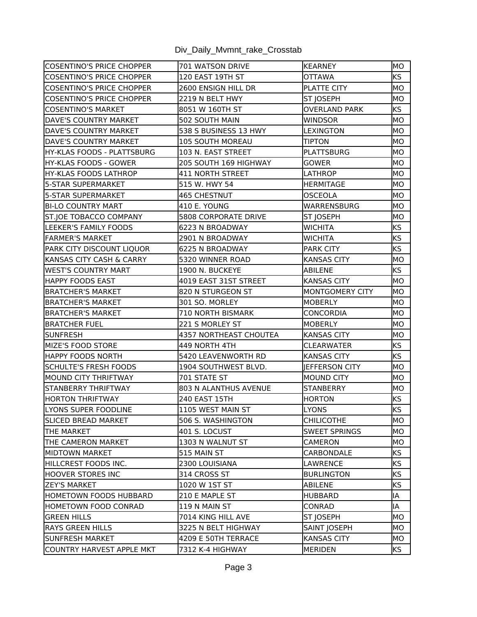| COSENTINO'S PRICE CHOPPER        | 701 WATSON DRIVE            | <b>KEARNEY</b>        | MO        |
|----------------------------------|-----------------------------|-----------------------|-----------|
| COSENTINO'S PRICE CHOPPER        | 120 EAST 19TH ST            | <b>OTTAWA</b>         | <b>KS</b> |
| <b>COSENTINO'S PRICE CHOPPER</b> | 2600 ENSIGN HILL DR         | PLATTE CITY           | MО        |
| COSENTINO'S PRICE CHOPPER        | 2219 N BELT HWY             | <b>ST JOSEPH</b>      | MО        |
| <b>COSENTINO'S MARKET</b>        | 8051 W 160TH ST             | <b>OVERLAND PARK</b>  | <b>KS</b> |
| IDAVE'S COUNTRY MARKET           | 502 SOUTH MAIN              | WINDSOR               | MO        |
| DAVE'S COUNTRY MARKET            | 538 S BUSINESS 13 HWY       | <b>LEXINGTON</b>      | MO        |
| DAVE'S COUNTRY MARKET            | <b>105 SOUTH MOREAU</b>     | <b>TIPTON</b>         | MО        |
| HY-KLAS FOODS - PLATTSBURG       | 103 N. EAST STREET          | <b>PLATTSBURG</b>     | MО        |
| lhy-Klas foods - Gower           | 205 SOUTH 169 HIGHWAY       | GOWER                 | MO.       |
| <b>HY-KLAS FOODS LATHROP</b>     | 411 NORTH STREET            | LATHROP               | MO        |
| 5-STAR SUPERMARKET               | 515 W. HWY 54               | <b>HERMITAGE</b>      | MO        |
| 15-STAR SUPERMARKET              | <b>465 CHESTNUT</b>         | OSCEOLA               | MO        |
| <b>BI-LO COUNTRY MART</b>        | 410 E. YOUNG                | WARRENSBURG           | MO        |
| <b>ST.JOE TOBACCO COMPANY</b>    | <b>5808 CORPORATE DRIVE</b> | ST JOSEPH             | MО        |
| LEEKER'S FAMILY FOODS            | 6223 N BROADWAY             | <b>WICHITA</b>        | <b>KS</b> |
| <b>FARMER'S MARKET</b>           | 2901 N BROADWAY             | <b>WICHITA</b>        | <b>KS</b> |
| <b>PARK CITY DISCOUNT LIQUOR</b> | 6225 N BROADWAY             | <b>PARK CITY</b>      | <b>KS</b> |
| KANSAS CITY CASH & CARRY         | 5320 WINNER ROAD            | <b>KANSAS CITY</b>    | MO        |
| WEST'S COUNTRY MART              | 1900 N. BUCKEYE             | ABILENE               | <b>KS</b> |
| <b>HAPPY FOODS EAST</b>          | 4019 EAST 31ST STREET       | <b>KANSAS CITY</b>    | MО        |
| BRATCHER'S MARKET                | 820 N STURGEON ST           | MONTGOMERY CITY       | MO        |
| BRATCHER'S MARKET                | 301 SO. MORLEY              | <b>MOBERLY</b>        | MO        |
| BRATCHER'S MARKET                | 710 NORTH BISMARK           | CONCORDIA             | MО        |
| <b>BRATCHER FUEL</b>             | 221 S MORLEY ST             | <b>MOBERLY</b>        | MО        |
| lsunfresh                        | 4357 NORTHEAST CHOUTEA      | <b>KANSAS CITY</b>    | MО        |
| MIZE'S FOOD STORE                | 449 NORTH 4TH               | <b>CLEARWATER</b>     | <b>KS</b> |
| HAPPY FOODS NORTH                | 5420 LEAVENWORTH RD         | <b>KANSAS CITY</b>    | <b>KS</b> |
| SCHULTE'S FRESH FOODS            | 1904 SOUTHWEST BLVD.        | <b>JEFFERSON CITY</b> | MO        |
| MOUND CITY THRIFTWAY             | 701 STATE ST                | <b>MOUND CITY</b>     | MО        |
| STANBERRY THRIFTWAY              | 803 N ALANTHUS AVENUE       | <b>STANBERRY</b>      | MO        |
| <b>HORTON THRIFTWAY</b>          | 240 EAST 15TH               | <b>HORTON</b>         | <b>KS</b> |
| LYONS SUPER FOODLINE             | 1105 WEST MAIN ST           | LYONS                 | KS        |
| <b>SLICED BREAD MARKET</b>       | 506 S. WASHINGTON           | <b>CHILICOTHE</b>     | IMO       |
| THE MARKET                       | 401 S. LOCUST               | <b>SWEET SPRINGS</b>  | MO        |
| ITHE CAMERON MARKET              | 1303 N WALNUT ST            | CAMERON               | IMO.      |
| IMIDTOWN MARKET                  | 515 MAIN ST                 | CARBONDALE            | KS.       |
| HILLCREST FOODS INC.             | 2300 LOUISIANA              | LAWRENCE              | KS        |
| HOOVER STORES INC                | 314 CROSS ST                | <b>BURLINGTON</b>     | <b>KS</b> |
| <b>ZEY'S MARKET</b>              | 1020 W 1ST ST               | ABILENE               | <b>KS</b> |
| IHOMETOWN FOODS HUBBARD          | 210 E MAPLE ST              | <b>HUBBARD</b>        | lIA.      |
| HOMETOWN FOOD CONRAD             | 119 N MAIN ST               | CONRAD                | ΙA        |
| GREEN HILLS                      | 7014 KING HILL AVE          | <b>ST JOSEPH</b>      | MO.       |
| <b>RAYS GREEN HILLS</b>          | 3225 N BELT HIGHWAY         | SAINT JOSEPH          | MО        |
| SUNFRESH MARKET                  | 4209 E 50TH TERRACE         | <b>KANSAS CITY</b>    | MО        |
| COUNTRY HARVEST APPLE MKT        | 7312 K-4 HIGHWAY            | <b>MERIDEN</b>        | KS        |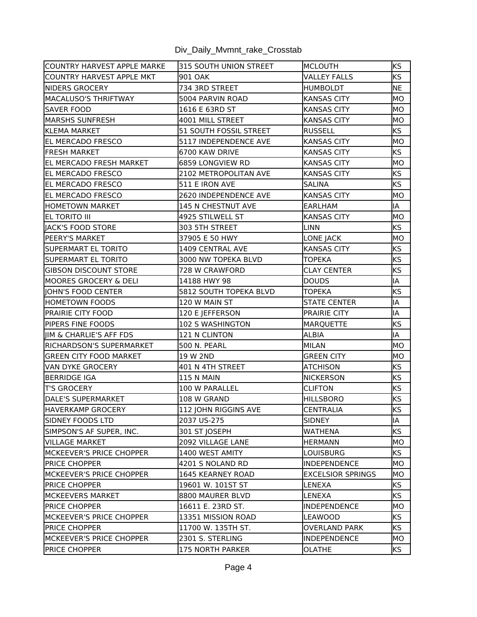| COUNTRY HARVEST APPLE MARKE     | 315 SOUTH UNION STREET        | MCLOUTH                  | <b>KS</b> |
|---------------------------------|-------------------------------|--------------------------|-----------|
| COUNTRY HARVEST APPLE MKT       | 901 OAK                       | VALLEY FALLS             | <b>KS</b> |
| <b>INIDERS GROCERY</b>          | 734 3RD STREET                | <b>HUMBOLDT</b>          | NE        |
| lMACALUSO'S THRIFTWAY           | 5004 PARVIN ROAD              | <b>KANSAS CITY</b>       | MО        |
| <b>SAVER FOOD</b>               | 1616 E 63RD ST                | <b>KANSAS CITY</b>       | MО        |
| IMARSHS SUNFRESH                | 4001 MILL STREET              | <b>KANSAS CITY</b>       | MO        |
| <b>I</b> KLEMA MARKET           | <b>51 SOUTH FOSSIL STREET</b> | <b>RUSSELL</b>           | <b>KS</b> |
| <b>EL MERCADO FRESCO</b>        | 5117 INDEPENDENCE AVE         | <b>KANSAS CITY</b>       | MO        |
| <b>FRESH MARKET</b>             | 6700 KAW DRIVE                | <b>KANSAS CITY</b>       | <b>KS</b> |
| <b>IEL MERCADO FRESH MARKET</b> | 6859 LONGVIEW RD              | <b>KANSAS CITY</b>       | MO        |
| <b>EL MERCADO FRESCO</b>        | 2102 METROPOLITAN AVE         | <b>KANSAS CITY</b>       | <b>KS</b> |
| <b>EL MERCADO FRESCO</b>        | 511 E IRON AVE                | <b>SALINA</b>            | <b>KS</b> |
| <b>EL MERCADO FRESCO</b>        | 2620 INDEPENDENCE AVE         | <b>KANSAS CITY</b>       | MО        |
| HOMETOWN MARKET                 | 145 N CHESTNUT AVE            | <b>EARLHAM</b>           | IA        |
| EL TORITO III                   | 4925 STILWELL ST              | <b>KANSAS CITY</b>       | MO        |
| lIACK'S FOOD STORE              | 303 5TH STREET                | <b>LINN</b>              | <b>KS</b> |
| PEERY'S MARKET                  | 37905 E 50 HWY                | LONE JACK                | MО        |
| <b>SUPERMART EL TORITO</b>      | 1409 CENTRAL AVE              | <b>KANSAS CITY</b>       | <b>KS</b> |
| SUPERMART EL TORITO             | 3000 NW TOPEKA BLVD           | <b>TOPEKA</b>            | <b>KS</b> |
| <b>GIBSON DISCOUNT STORE</b>    | <b>728 W CRAWFORD</b>         | <b>CLAY CENTER</b>       | KS        |
| MOORES GROCERY & DELI           | 14188 HWY 98                  | <b>DOUDS</b>             | IA        |
| IOHN'S FOOD CENTER              | 5812 SOUTH TOPEKA BLVD        | <b>TOPEKA</b>            | <b>KS</b> |
| HOMETOWN FOODS                  | 120 W MAIN ST                 | <b>STATE CENTER</b>      | IA        |
| PRAIRIE CITY FOOD               | 120 E JEFFERSON               | PRAIRIE CITY             | IA        |
| <b>PIPERS FINE FOODS</b>        | <b>102 S WASHINGTON</b>       | <b>MARQUETTE</b>         | KS        |
| JIM & CHARLIE'S AFF FDS         | 121 N CLINTON                 | <b>ALBIA</b>             | IA        |
| RICHARDSON'S SUPERMARKET        | <b>500 N. PEARL</b>           | MILAN                    | MO        |
| <b>GREEN CITY FOOD MARKET</b>   | 19 W 2ND                      | <b>GREEN CITY</b>        | IMO       |
| VAN DYKE GROCERY                | 401 N 4TH STREET              | <b>ATCHISON</b>          | <b>KS</b> |
| <b>BERRIDGE IGA</b>             | <b>115 N MAIN</b>             | <b>NICKERSON</b>         | <b>KS</b> |
| <b>T'S GROCERY</b>              | 100 W PARALLEL                | <b>CLIFTON</b>           | <b>KS</b> |
| DALE'S SUPERMARKET              | 108 W GRAND                   | <b>HILLSBORO</b>         | <b>KS</b> |
| HAVERKAMP GROCERY               | 112 JOHN RIGGINS AVE          | CENTRALIA                | KS        |
| ISIDNEY FOODS LTD               | 2037 US-275                   | SIDNEY                   | IA        |
| SIMPSON'S AF SUPER, INC.        | 301 ST JOSEPH                 | <b>WATHENA</b>           | <b>KS</b> |
| VILLAGE MARKET                  | 2092 VILLAGE LANE             | <b>HERMANN</b>           | MО        |
| MCKEEVER'S PRICE CHOPPER        | 1400 WEST AMITY               | LOUISBURG                | KS        |
| <b>PRICE CHOPPER</b>            | 4201 S NOLAND RD              | <b>INDEPENDENCE</b>      | IMO       |
| MCKEEVER'S PRICE CHOPPER        | 1645 KEARNEY ROAD             | <b>EXCELSIOR SPRINGS</b> | IMO.      |
| <b>IPRICE CHOPPER</b>           | 19601 W. 101ST ST             | LENEXA                   | KS        |
| MCKEEVERS MARKET                | 8800 MAURER BLVD              | LENEXA                   | <b>KS</b> |
| <b>PRICE CHOPPER</b>            | 16611 E. 23RD ST.             | INDEPENDENCE             | MO        |
| MCKEEVER'S PRICE CHOPPER        | 13351 MISSION ROAD            | LEAWOOD                  | KS        |
| PRICE CHOPPER                   | 11700 W. 135TH ST.            | OVERLAND PARK            | KS        |
| MCKEEVER'S PRICE CHOPPER        | 2301 S. STERLING              | INDEPENDENCE             | MО        |
| <b>PRICE CHOPPER</b>            | 175 NORTH PARKER              | <b>OLATHE</b>            | KS        |
|                                 |                               |                          |           |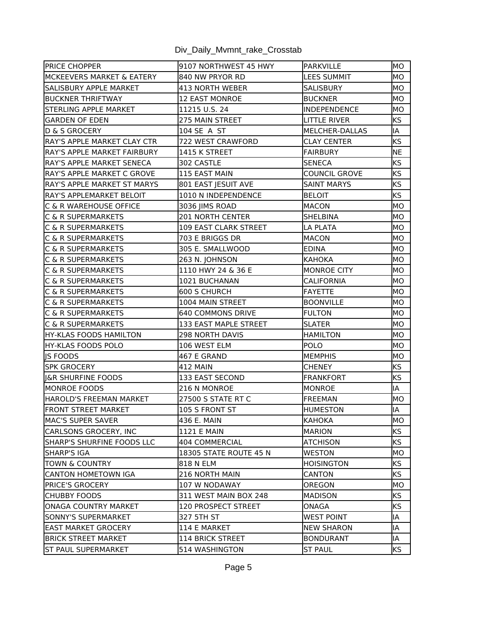|  |  |  | Div_Daily_Mvmnt_rake_Crosstab |
|--|--|--|-------------------------------|
|--|--|--|-------------------------------|

| <b>PRICE CHOPPER</b>               | 9107 NORTHWEST 45 HWY        | <b>PARKVILLE</b>     | MO        |
|------------------------------------|------------------------------|----------------------|-----------|
| MCKEEVERS MARKET & EATERY          | 840 NW PRYOR RD              | <b>LEES SUMMIT</b>   | MО        |
| SALISBURY APPLE MARKET             | 413 NORTH WEBER              | SALISBURY            | MО        |
| <b>BUCKNER THRIFTWAY</b>           | <b>12 EAST MONROE</b>        | <b>BUCKNER</b>       | MO        |
| STERLING APPLE MARKET              | 11215 U.S. 24                | INDEPENDENCE         | MО        |
| <b>GARDEN OF EDEN</b>              | 275 MAIN STREET              | LITTLE RIVER         | ks        |
| D & S GROCERY                      | 104 SE A ST                  | MELCHER-DALLAS       | IA        |
| <b>RAY'S APPLE MARKET CLAY CTR</b> | 722 WEST CRAWFORD            | <b>CLAY CENTER</b>   | ks        |
| IRAY'S APPLE MARKET FAIRBURY       | 1415 K STREET                | <b>FAIRBURY</b>      | NE        |
| <b>RAY'S APPLE MARKET SENECA</b>   | 302 CASTLE                   | <b>SENECA</b>        | <b>KS</b> |
| <b>RAY'S APPLE MARKET C GROVE</b>  | 115 EAST MAIN                | <b>COUNCIL GROVE</b> | <b>KS</b> |
| RAY'S APPLE MARKET ST MARYS        | 801 EAST JESUIT AVE          | <b>SAINT MARYS</b>   | <b>KS</b> |
| RAY'S APPLEMARKET BELOIT           | 1010 N INDEPENDENCE          | <b>BELOIT</b>        | <b>KS</b> |
| IC & R WAREHOUSE OFFICE            | 3036 JIMS ROAD               | MACON                | MО        |
| IC & R SUPERMARKETS                | <b>201 NORTH CENTER</b>      | <b>SHELBINA</b>      | MО        |
| IC & R SUPERMARKETS                | <b>109 EAST CLARK STREET</b> | LA PLATA             | MО        |
| IC & R SUPERMARKETS                | 703 E BRIGGS DR              | MACON                | MО        |
| IC & R SUPERMARKETS                | 305 E. SMALLWOOD             | <b>EDINA</b>         | MO        |
| IC & R SUPERMARKETS                | 263 N. JOHNSON               | <b>KAHOKA</b>        | MО        |
| IC & R SUPERMARKETS                | 1110 HWY 24 & 36 E           | <b>MONROE CITY</b>   | MО        |
| <b>C &amp; R SUPERMARKETS</b>      | 1021 BUCHANAN                | <b>CALIFORNIA</b>    | IMO       |
| IC & R SUPERMARKETS                | 600 S CHURCH                 | FAYETTE              | MO        |
| ∣C & R SUPERMARKETS                | 1004 MAIN STREET             | <b>BOONVILLE</b>     | MO        |
| IC & R SUPERMARKETS                | <b>640 COMMONS DRIVE</b>     | <b>FULTON</b>        | IMO       |
| IC & R SUPERMARKETS                | <b>133 EAST MAPLE STREET</b> | <b>SLATER</b>        | MO        |
| lHY-KLAS FOODS HAMILTON            | <b>298 NORTH DAVIS</b>       | <b>HAMILTON</b>      | MО        |
| HY-KLAS FOODS POLO                 | 106 WEST ELM                 | <b>POLO</b>          | MО        |
| IS FOODS                           | 467 E GRAND                  | <b>MEMPHIS</b>       | MO        |
| <b>SPK GROCERY</b>                 | <b>412 MAIN</b>              | <b>CHENEY</b>        | <b>KS</b> |
| <b>IGR SHURFINE FOODS</b>          | 133 EAST SECOND              | <b>FRANKFORT</b>     | <b>KS</b> |
| MONROE FOODS                       | 216 N MONROE                 | MONROE               | lIA       |
| HAROLD'S FREEMAN MARKET            | <b>27500 S STATE RT C</b>    | <b>FREEMAN</b>       | MО        |
| <b>FRONT STREET MARKET</b>         | 105 S FRONT ST               | <b>HUMESTON</b>      | IA        |
| MAC'S SUPER SAVER                  | 436 E. MAIN                  | KAHOKA               | IMO       |
| CARLSONS GROCERY, INC              | <b>1121 E MAIN</b>           | MARION               | <b>KS</b> |
| ISHARP'S SHURFINE FOODS LLC        | 404 COMMERCIAL               | ATCHISON             | <b>KS</b> |
| ISHARP'S IGA                       | 18305 STATE ROUTE 45 N       | WESTON               | IMO       |
| <b>TOWN &amp; COUNTRY</b>          | 818 N ELM                    | <b>HOISINGTON</b>    | <b>KS</b> |
| ICANTON HOMETOWN IGA               | 216 NORTH MAIN               | CANTON               | KS.       |
| <b>PRICE'S GROCERY</b>             | 107 W NODAWAY                | OREGON               | IMO       |
| <b>CHUBBY FOODS</b>                | 311 WEST MAIN BOX 248        | <b>MADISON</b>       | KS.       |
| IONAGA COUNTRY MARKET              | 120 PROSPECT STREET          | ONAGA                | <b>KS</b> |
| SONNY'S SUPERMARKET                | 327 5TH ST                   | <b>WEST POINT</b>    | IA        |
| <b>EAST MARKET GROCERY</b>         | 114 E MARKET                 | <b>NEW SHARON</b>    | IA        |
| <b>BRICK STREET MARKET</b>         | <b>114 BRICK STREET</b>      | BONDURANT            | ΙA        |
| ST PAUL SUPERMARKET                | 514 WASHINGTON               | <b>ST PAUL</b>       | <b>KS</b> |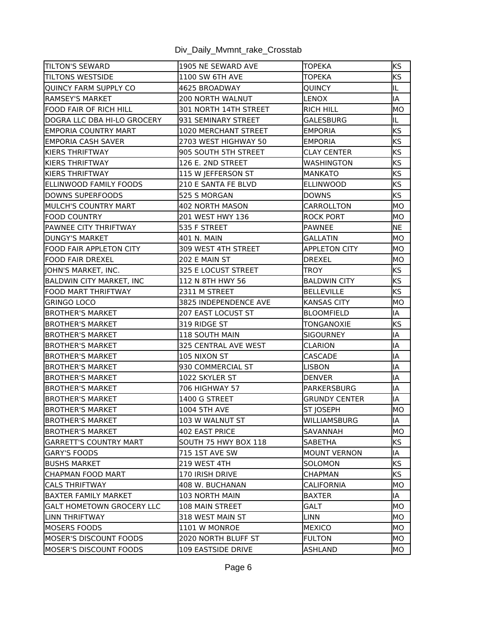|  |  | Div_Daily_Mvmnt_rake_Crosstab |  |
|--|--|-------------------------------|--|
|  |  |                               |  |

| <b>TILTON'S SEWARD</b>          | 1905 NE SEWARD AVE      | <b>TOPEKA</b>        | <b>KS</b> |
|---------------------------------|-------------------------|----------------------|-----------|
| <b>TILTONS WESTSIDE</b>         | 1100 SW 6TH AVE         | <b>TOPEKA</b>        | <b>KS</b> |
| QUINCY FARM SUPPLY CO           | 4625 BROADWAY           | QUINCY               | IL        |
| <b>RAMSEY'S MARKET</b>          | <b>200 NORTH WALNUT</b> | <b>LENOX</b>         | IA        |
| FOOD FAIR OF RICH HILL          | 301 NORTH 14TH STREET   | <b>RICH HILL</b>     | <b>MO</b> |
| DOGRA LLC DBA HI-LO GROCERY     | 931 SEMINARY STREET     | GALESBURG            | IL        |
| IEMPORIA COUNTRY MART           | 1020 MERCHANT STREET    | <b>EMPORIA</b>       | <b>KS</b> |
| EMPORIA CASH SAVER              | 2703 WEST HIGHWAY 50    | <b>EMPORIA</b>       | <b>KS</b> |
| <b>KIERS THRIFTWAY</b>          | 905 SOUTH 5TH STREET    | CLAY CENTER          | <b>KS</b> |
| KIERS THRIFTWAY                 | 126 E. 2ND STREET       | WASHINGTON           | <b>KS</b> |
| <b>KIERS THRIFTWAY</b>          | 115 W JEFFERSON ST      | MANKATO              | <b>KS</b> |
| ELLINWOOD FAMILY FOODS          | 210 E SANTA FE BLVD     | <b>ELLINWOOD</b>     | <b>KS</b> |
| DOWNS SUPERFOODS                | 525 S MORGAN            | <b>DOWNS</b>         | <b>KS</b> |
| <b>MULCH'S COUNTRY MART</b>     | 402 NORTH MASON         | CARROLLTON           | MО        |
| FOOD COUNTRY                    | 201 WEST HWY 136        | <b>ROCK PORT</b>     | MО        |
| IPAWNEE CITY THRIFTWAY          | 535 F STREET            | PAWNEE               | NE        |
| IDUNGY'S MARKET                 | 401 N. MAIN             | GALLATIN             | MО        |
| <b>FOOD FAIR APPLETON CITY</b>  | 309 WEST 4TH STREET     | <b>APPLETON CITY</b> | MО        |
| FOOD FAIR DREXEL                | 202 E MAIN ST           | <b>DREXEL</b>        | MO        |
| JOHN'S MARKET, INC.             | 325 E LOCUST STREET     | TROY                 | <b>KS</b> |
| <b>BALDWIN CITY MARKET, INC</b> | 112 N 8TH HWY 56        | <b>BALDWIN CITY</b>  | KS        |
| <b>FOOD MART THRIFTWAY</b>      | 2311 M STREET           | <b>BELLEVILLE</b>    | <b>KS</b> |
| GRINGO LOCO                     | 3825 INDEPENDENCE AVE   | <b>KANSAS CITY</b>   | MO        |
| BROTHER'S MARKET                | 207 EAST LOCUST ST      | <b>BLOOMFIELD</b>    | IA        |
| <b>BROTHER'S MARKET</b>         | 319 RIDGE ST            | TONGANOXIE           | <b>KS</b> |
| IBROTHER'S MARKET               | 118 SOUTH MAIN          | <b>SIGOURNEY</b>     | IA        |
| BROTHER'S MARKET                | 325 CENTRAL AVE WEST    | CLARION              | IA        |
| <b>BROTHER'S MARKET</b>         | 105 NIXON ST            | CASCADE              | IA        |
| <b>IBROTHER'S MARKET</b>        | 930 COMMERCIAL ST       | LISBON               | IA        |
| <b>BROTHER'S MARKET</b>         | 1022 SKYLER ST          | <b>DENVER</b>        | IA        |
| IBROTHER'S MARKET               | <b>706 HIGHWAY 57</b>   | IPARKERSBURG         | IA        |
| <b>BROTHER'S MARKET</b>         | 1400 G STREET           | <b>GRUNDY CENTER</b> | IA        |
| <b>BROTHER'S MARKET</b>         | 1004 5TH AVE            | ST JOSEPH            | MO        |
| <b>BROTHER'S MARKET</b>         | 103 W WALNUT ST         | <b>WILLIAMSBURG</b>  | IA        |
| <b>BROTHER'S MARKET</b>         | 402 EAST PRICE          | SAVANNAH             | MО        |
| GARRETT'S COUNTRY MART          | SOUTH 75 HWY BOX 118    | SABETHA              | KS.       |
| IGARY'S FOODS                   | 715 1ST AVE SW          | MOUNT VERNON         | ΙA        |
| <b>BUSHS MARKET</b>             | 219 WEST 4TH            | SOLOMON              | <b>KS</b> |
| ICHAPMAN FOOD MART              | 170 IRISH DRIVE         | CHAPMAN              | KS.       |
| <b>CALS THRIFTWAY</b>           | 408 W. BUCHANAN         | CALIFORNIA           | IMO       |
| IBAXTER FAMILY MARKET           | 103 NORTH MAIN          | BAXTER               | lIA.      |
| lGALT HOMETOWN GROCERY LLC      | 108 MAIN STREET         | GALT                 | MO        |
| LINN THRIFTWAY                  | 318 WEST MAIN ST        | <b>LINN</b>          | IMO.      |
| MOSERS FOODS                    | 1101 W MONROE           | MEXICO               | IMO.      |
| MOSER'S DISCOUNT FOODS          | 2020 NORTH BLUFF ST     | <b>FULTON</b>        | MO        |
| MOSER'S DISCOUNT FOODS          | 109 EASTSIDE DRIVE      | ASHLAND              | MO.       |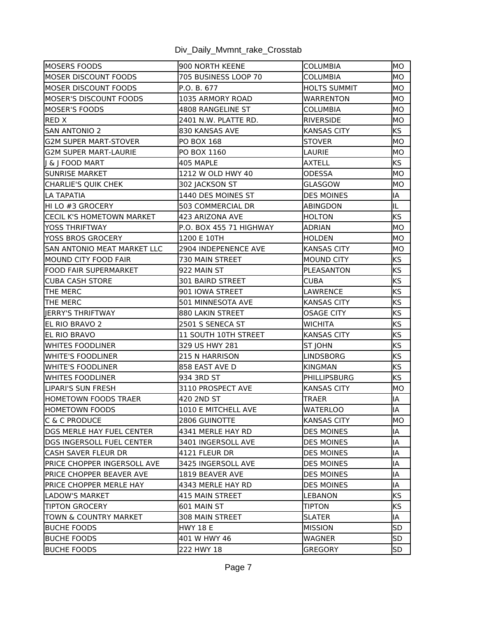| Div_Daily_Mvmnt_rake_Crosstab |
|-------------------------------|
|-------------------------------|

| MOSERS FOODS                      | 900 NORTH KEENE                | <b>COLUMBIA</b>     | MO        |
|-----------------------------------|--------------------------------|---------------------|-----------|
| MOSER DISCOUNT FOODS              | 705 BUSINESS LOOP 70           | COLUMBIA            | MO        |
| MOSER DISCOUNT FOODS              | P.O. B. 677                    | <b>HOLTS SUMMIT</b> | IMO       |
| <b>MOSER'S DISCOUNT FOODS</b>     | 1035 ARMORY ROAD               | <b>WARRENTON</b>    | MО        |
| MOSER'S FOODS                     | 4808 RANGELINE ST              | COLUMBIA            | MО        |
| RED X                             | 2401 N.W. PLATTE RD.           | <b>RIVERSIDE</b>    | MO        |
| SAN ANTONIO 2                     | 830 KANSAS AVE                 | <b>KANSAS CITY</b>  | KS        |
| <b>G2M SUPER MART-STOVER</b>      | <b>PO BOX 168</b>              | <b>STOVER</b>       | MO        |
| <b>G2M SUPER MART-LAURIE</b>      | PO BOX 1160                    | LAURIE              | MО        |
| J & J FOOD MART                   | 405 MAPLE                      | <b>AXTELL</b>       | <b>KS</b> |
| <b>SUNRISE MARKET</b>             | 1212 W OLD HWY 40              | <b>ODESSA</b>       | MО        |
| CHARLIE'S QUIK CHEK               | 302 JACKSON ST                 | GLASGOW             | MО        |
| ILA TAPATIA                       | 1440 DES MOINES ST             | <b>DES MOINES</b>   | IA        |
| HI LO #3 GROCERY                  | 503 COMMERCIAL DR              | <b>ABINGDON</b>     | IL        |
| CECIL K'S HOMETOWN MARKET         | 423 ARIZONA AVE                | <b>HOLTON</b>       | <b>KS</b> |
| YOSS THRIFTWAY                    | <b>P.O. BOX 455 71 HIGHWAY</b> | ADRIAN              | MО        |
| YOSS BROS GROCERY                 | 1200 E 10TH                    | <b>HOLDEN</b>       | MО        |
| SAN ANTONIO MEAT MARKET LLC       | 2904 INDEPENENCE AVE           | <b>KANSAS CITY</b>  | MО        |
| MOUND CITY FOOD FAIR              | <b>730 MAIN STREET</b>         | <b>MOUND CITY</b>   | <b>KS</b> |
| <b>FOOD FAIR SUPERMARKET</b>      | 922 MAIN ST                    | PLEASANTON          | <b>KS</b> |
| CUBA CASH STORE                   | 301 BAIRD STREET               | <b>CUBA</b>         | <b>KS</b> |
| THE MERC                          | 901 IOWA STREET                | LAWRENCE            | <b>KS</b> |
| THE MERC                          | 501 MINNESOTA AVE              | <b>KANSAS CITY</b>  | <b>KS</b> |
| JERRY'S THRIFTWAY                 | 880 LAKIN STREET               | <b>OSAGE CITY</b>   | ks        |
| EL RIO BRAVO 2                    | 2501 S SENECA ST               | <b>WICHITA</b>      | <b>KS</b> |
| EL RIO BRAVO                      | 11 SOUTH 10TH STREET           | <b>KANSAS CITY</b>  | <b>KS</b> |
| WHITES FOODLINER                  | 329 US HWY 281                 | <b>ST JOHN</b>      | <b>KS</b> |
| WHITE'S FOODLINER                 | 215 N HARRISON                 | <b>LINDSBORG</b>    | <b>KS</b> |
| WHITE'S FOODLINER                 | 858 EAST AVE D                 | <b>KINGMAN</b>      | <b>KS</b> |
| WHITES FOODLINER                  | 934 3RD ST                     | PHILLIPSBURG        | <b>KS</b> |
| LIPARI'S SUN FRESH                | 3110 PROSPECT AVE              | <b>KANSAS CITY</b>  | MО        |
| HOMETOWN FOODS TRAER              | 420 2ND ST                     | <b>TRAER</b>        | IA        |
| <b>HOMETOWN FOODS</b>             | 1010 E MITCHELL AVE            | <b>WATERLOO</b>     | IA        |
| IC & C PRODUCE                    | 2806 GUINOTTE                  | <b>KANSAS CITY</b>  | IMO       |
| DGS MERLE HAY FUEL CENTER         | 4341 MERLE HAY RD              | <b>DES MOINES</b>   | IA        |
| <b>IDGS INGERSOLL FUEL CENTER</b> | 3401 INGERSOLL AVE             | <b>DES MOINES</b>   | IA        |
| ICASH SAVER FLEUR DR              | 4121 FLEUR DR                  | <b>DES MOINES</b>   | IA        |
| PRICE CHOPPER INGERSOLL AVE       | 3425 INGERSOLL AVE             | <b>DES MOINES</b>   | IA        |
| PRICE CHOPPER BEAVER AVE          | 1819 BEAVER AVE                | <b>DES MOINES</b>   | IA        |
| PRICE CHOPPER MERLE HAY           | 4343 MERLE HAY RD              | <b>DES MOINES</b>   | IA        |
| LADOW'S MARKET                    | 415 MAIN STREET                | LEBANON             | lKS.      |
| <b>ITIPTON GROCERY</b>            | 601 MAIN ST                    | <b>TIPTON</b>       | <b>KS</b> |
| TOWN & COUNTRY MARKET             | 308 MAIN STREET                | <b>SLATER</b>       | lIA.      |
| <b>BUCHE FOODS</b>                | <b>HWY 18 E</b>                | <b>MISSION</b>      | <b>SD</b> |
| <b>BUCHE FOODS</b>                | 401 W HWY 46                   | WAGNER              | <b>SD</b> |
| <b>BUCHE FOODS</b>                | 222 HWY 18                     | GREGORY             | <b>SD</b> |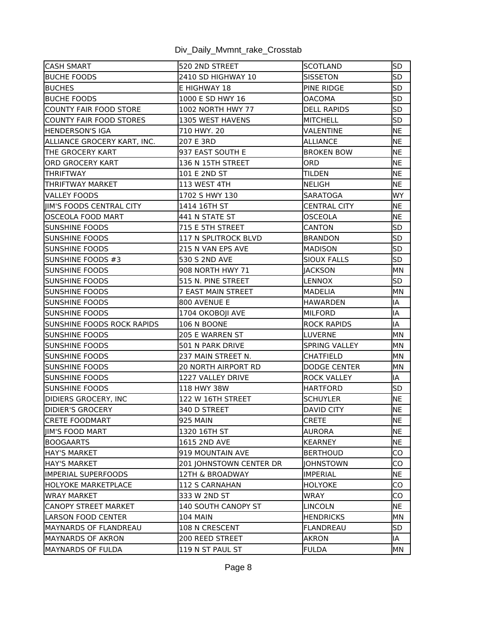| <b>CASH SMART</b>                 | 520 2ND STREET             | SCOTLAND             | <b>SD</b>  |
|-----------------------------------|----------------------------|----------------------|------------|
| <b>IBUCHE FOODS</b>               | 2410 SD HIGHWAY 10         | SISSETON             | <b>SD</b>  |
| <b>BUCHES</b>                     | E HIGHWAY 18               | <b>PINE RIDGE</b>    | <b>SD</b>  |
| <b>BUCHE FOODS</b>                | 1000 E SD HWY 16           | <b>OACOMA</b>        | <b>SD</b>  |
| COUNTY FAIR FOOD STORE            | <b>1002 NORTH HWY 77</b>   | <b>DELL RAPIDS</b>   | <b>SD</b>  |
| COUNTY FAIR FOOD STORES           | 1305 WEST HAVENS           | MITCHELL             | <b>SD</b>  |
| <b>HENDERSON'S IGA</b>            | 710 HWY. 20                | VALENTINE            | <b>NE</b>  |
| ALLIANCE GROCERY KART, INC.       | 207 E 3RD                  | <b>ALLIANCE</b>      | <b>NE</b>  |
| THE GROCERY KART                  | 937 EAST SOUTH E           | <b>BROKEN BOW</b>    | <b>NE</b>  |
| ORD GROCERY KART                  | 136 N 15TH STREET          | ORD                  | <b>NE</b>  |
| <b>THRIFTWAY</b>                  | 101 E 2ND ST               | <b>TILDEN</b>        | <b>NE</b>  |
| <b>ITHRIFTWAY MARKET</b>          | 113 WEST 4TH               | NELIGH               | <b>NE</b>  |
| VALLEY FOODS                      | 1702 S HWY 130             | <b>SARATOGA</b>      | <b>WY</b>  |
| JIM'S FOODS CENTRAL CITY          | 1414 16TH ST               | <b>CENTRAL CITY</b>  | <b>NE</b>  |
| <b>OSCEOLA FOOD MART</b>          | 441 N STATE ST             | <b>OSCEOLA</b>       | <b>NE</b>  |
| SUNSHINE FOODS                    | 715 E 5TH STREET           | CANTON               | <b>SD</b>  |
| SUNSHINE FOODS                    | 117 N SPLITROCK BLVD       | <b>BRANDON</b>       | <b>SD</b>  |
| <b>SUNSHINE FOODS</b>             | 215 N VAN EPS AVE          | <b>MADISON</b>       | SD         |
| SUNSHINE FOODS #3                 | 530 S 2ND AVE              | <b>SIOUX FALLS</b>   | <b>SD</b>  |
| <b>SUNSHINE FOODS</b>             | <b>908 NORTH HWY 71</b>    | <b>JACKSON</b>       | MN         |
| <b>SUNSHINE FOODS</b>             | 515 N. PINE STREET         | <b>LENNOX</b>        | <b>SD</b>  |
| <b>SUNSHINE FOODS</b>             | <b>7 EAST MAIN STREET</b>  | MADELIA              | MN         |
| <b>SUNSHINE FOODS</b>             | 800 AVENUE E               | <b>HAWARDEN</b>      | IA         |
| <b>SUNSHINE FOODS</b>             | 1704 OKOBOJI AVE           | MILFORD              | IA         |
| <b>SUNSHINE FOODS ROCK RAPIDS</b> | 106 N BOONE                | <b>ROCK RAPIDS</b>   | IA         |
| <b>SUNSHINE FOODS</b>             | 205 E WARREN ST            | LUVERNE              | MN         |
| <b>SUNSHINE FOODS</b>             | 501 N PARK DRIVE           | <b>SPRING VALLEY</b> | <b>IMN</b> |
| <b>SUNSHINE FOODS</b>             | 237 MAIN STREET N.         | <b>CHATFIELD</b>     | MN         |
| <b>SUNSHINE FOODS</b>             | <b>20 NORTH AIRPORT RD</b> | <b>DODGE CENTER</b>  | MN         |
| <b>SUNSHINE FOODS</b>             | 1227 VALLEY DRIVE          | <b>ROCK VALLEY</b>   | IA         |
| <b>SUNSHINE FOODS</b>             | 118 HWY 38W                | HARTFORD             | <b>SD</b>  |
| <b>DIDIERS GROCERY, INC</b>       | 122 W 16TH STREET          | <b>SCHUYLER</b>      | <b>NE</b>  |
| <b>DIDIER'S GROCERY</b>           | $\overline{3}40$ D STREET  | DAVID CITY           | NE         |
| <b>ICRETE FOODMART</b>            | 925 MAIN                   | <b>CRETE</b>         | <b>INE</b> |
| <b>IIIM'S FOOD MART</b>           | 1320 16TH ST               | AURORA               | <b>NE</b>  |
| <b>IBOOGAARTS</b>                 | 1615 2ND AVE               | KEARNEY              | <b>NE</b>  |
| lHAY'S MARKET                     | 919 MOUNTAIN AVE           | <b>BERTHOUD</b>      | CO         |
| HAY'S MARKET                      | 201 JOHNSTOWN CENTER DR    | <b>JOHNSTOWN</b>     | lCO        |
| lIMPERIAL SUPERFOODS              | 12TH & BROADWAY            | IMPERIAL             | <b>INE</b> |
| IHOLYOKE MARKETPLACE              | 112 S CARNAHAN             | HOLYOKE              | CO         |
| lwray market                      | 333 W 2ND ST               | <b>WRAY</b>          | ICO.       |
| CANOPY STREET MARKET              | 140 SOUTH CANOPY ST        | <b>LINCOLN</b>       | NE         |
| LARSON FOOD CENTER                | <b>104 MAIN</b>            | HENDRICKS            | <b>IMN</b> |
| IMAYNARDS OF FLANDREAU            | 108 N CRESCENT             | FLANDREAU            | <b>SD</b>  |
| MAYNARDS OF AKRON                 | 200 REED STREET            | <b>AKRON</b>         | IA         |
| MAYNARDS OF FULDA                 | 119 N ST PAUL ST           | <b>FULDA</b>         | MN         |
|                                   |                            |                      |            |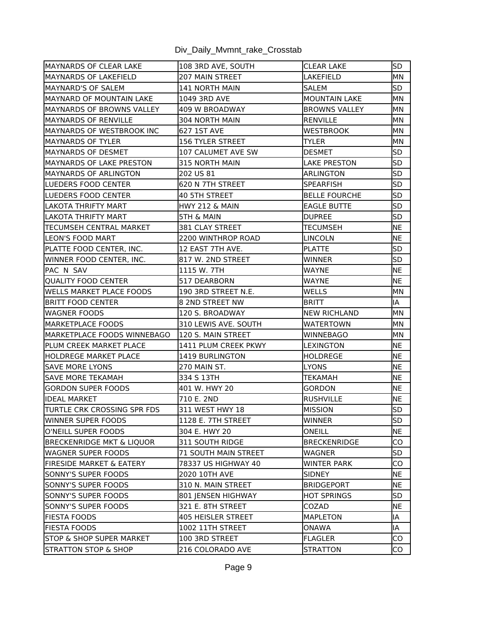| MAYNARDS OF CLEAR LAKE              | 108 3RD AVE, SOUTH          | <b>CLEAR LAKE</b>    | <b>SD</b>  |
|-------------------------------------|-----------------------------|----------------------|------------|
| MAYNARDS OF LAKEFIELD               | 207 MAIN STREET             | LAKEFIELD            | MN         |
| MAYNARD'S OF SALEM                  | 141 NORTH MAIN              | SALEM                | <b>SD</b>  |
| IMAYNARD OF MOUNTAIN LAKE           | 1049 3RD AVE                | <b>MOUNTAIN LAKE</b> | MΝ         |
| MAYNARDS OF BROWNS VALLEY           | 409 W BROADWAY              | <b>BROWNS VALLEY</b> | MN         |
| IMAYNARDS OF RENVILLE               | 304 NORTH MAIN              | RENVILLE             | IMN        |
| MAYNARDS OF WESTBROOK INC           | 627 1ST AVE                 | <b>WESTBROOK</b>     | IMN.       |
| <b>MAYNARDS OF TYLER</b>            | <b>156 TYLER STREET</b>     | TYLER                | MN         |
| MAYNARDS OF DESMET                  | 107 CALUMET AVE SW          | <b>DESMET</b>        | <b>SD</b>  |
| IMAYNARDS OF LAKE PRESTON           | 315 NORTH MAIN              | LAKE PRESTON         | <b>SD</b>  |
| MAYNARDS OF ARLINGTON               | 202 US 81                   | ARLINGTON            | <b>SD</b>  |
| <b>ILUEDERS FOOD CENTER</b>         | 620 N 7TH STREET            | <b>SPEARFISH</b>     | <b>SD</b>  |
| ILUEDERS FOOD CENTER                | 40 5TH STREET               | <b>BELLE FOURCHE</b> | <b>SD</b>  |
| ILAKOTA THRIFTY MART                | HWY 212 & MAIN              | <b>EAGLE BUTTE</b>   | <b>SD</b>  |
| LAKOTA THRIFTY MART                 | <b>5TH &amp; MAIN</b>       | <b>DUPREE</b>        | <b>SD</b>  |
| TECUMSEH CENTRAL MARKET             | 381 CLAY STREET             | TECUMSEH             | NE         |
| <b>LEON'S FOOD MART</b>             | 2200 WINTHROP ROAD          | <b>LINCOLN</b>       | <b>NE</b>  |
| PLATTE FOOD CENTER, INC.            | 12 EAST 7TH AVE.            | <b>PLATTE</b>        | SD         |
| WINNER FOOD CENTER, INC.            | 817 W. 2ND STREET           | <b>WINNER</b>        | <b>SD</b>  |
| IPAC N SAV                          | 1115 W. 7TH                 | <b>WAYNE</b>         | <b>NE</b>  |
| QUALITY FOOD CENTER                 | 517 DEARBORN                | <b>WAYNE</b>         | <b>NE</b>  |
| <b>WELLS MARKET PLACE FOODS</b>     | 190 3RD STREET N.E.         | WELLS                | MN         |
| IBRITT FOOD CENTER                  | 8 2ND STREET NW             | BRITT                | IA         |
| WAGNER FOODS                        | 120 S. BROADWAY             | <b>NEW RICHLAND</b>  | МN         |
| <b>MARKETPLACE FOODS</b>            | 310 LEWIS AVE. SOUTH        | <b>WATERTOWN</b>     | MN         |
| IMARKETPLACE FOODS WINNEBAGO        | l120 S. MAIN STREET         | WINNEBAGO            | MN         |
| IPLUM CREEK MARKET PLACE            | 1411 PLUM CREEK PKWY        | <b>LEXINGTON</b>     | NE         |
| HOLDREGE MARKET PLACE               | 1419 BURLINGTON             | <b>HOLDREGE</b>      | <b>NE</b>  |
| ISAVE MORE LYONS                    | 270 MAIN ST.                | LYONS                | <b>NE</b>  |
| lSAVE MORE TEKAMAH                  | 334 S 13TH                  | TEKAMAH              | <b>NE</b>  |
| <b>GORDON SUPER FOODS</b>           | 401 W. HWY 20               | <b>GORDON</b>        | <b>INE</b> |
| IDEAL MARKET                        | 710 E. 2ND                  | <b>RUSHVILLE</b>     | <b>NE</b>  |
| TURTLE CRK CROSSING SPR FDS         | $311$ WEST HWY 18           | <b>MISSION</b>       | SD         |
| WINNER SUPER FOODS                  | 1128 E. 7TH STREET          | WINNER               | <b>SD</b>  |
| O'NEILL SUPER FOODS                 | 304 E. HWY 20               | <b>ONEILL</b>        | NE         |
| BRECKENRIDGE MKT & LIQUOR           | 311 SOUTH RIDGE             | <b>BRECKENRIDGE</b>  | CO         |
| WAGNER SUPER FOODS                  | <b>71 SOUTH MAIN STREET</b> | WAGNER               | SD         |
| <b>FIRESIDE MARKET &amp; EATERY</b> | 78337 US HIGHWAY 40         | <b>WINTER PARK</b>   | CO         |
| ISONNY'S SUPER FOODS                | 2020 10TH AVE               | <b>SIDNEY</b>        | NE         |
| SONNY'S SUPER FOODS                 | 310 N. MAIN STREET          | <b>BRIDGEPORT</b>    | <b>NE</b>  |
| SONNY'S SUPER FOODS                 | 801 JENSEN HIGHWAY          | <b>HOT SPRINGS</b>   | <b>SD</b>  |
| SONNY'S SUPER FOODS                 | 321 E. 8TH STREET           | COZAD                | <b>NE</b>  |
| FIESTA FOODS                        | <b>405 HEISLER STREET</b>   | <b>MAPLETON</b>      | IA         |
| FIESTA FOODS                        | 1002 11TH STREET            | ONAWA                | IA         |
| <b>STOP &amp; SHOP SUPER MARKET</b> | 100 3RD STREET              | <b>FLAGLER</b>       | CO         |
| STRATTON STOP & SHOP                | 216 COLORADO AVE            | <b>STRATTON</b>      | CO         |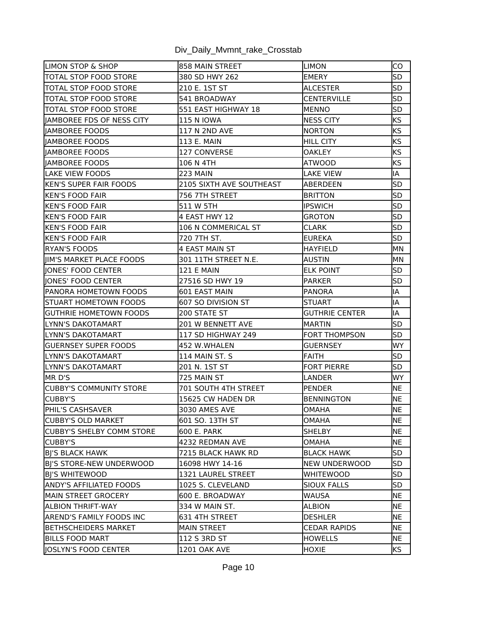| <b>LIMON STOP &amp; SHOP</b>     | 858 MAIN STREET          | LIMON                | IСО        |
|----------------------------------|--------------------------|----------------------|------------|
| TOTAL STOP FOOD STORE            | 380 SD HWY 262           | EMERY                | <b>SD</b>  |
| TOTAL STOP FOOD STORE            | 210 E. 1ST ST            | ALCESTER             | <b>SD</b>  |
| TOTAL STOP FOOD STORE            | 541 BROADWAY             | <b>CENTERVILLE</b>   | <b>SD</b>  |
| <b>TOTAL STOP FOOD STORE</b>     | 551 EAST HIGHWAY 18      | <b>IMENNO</b>        | <b>SD</b>  |
| lIAMBOREE FDS OF NESS CITY       | <b>115 N IOWA</b>        | INESS CITY           | <b>KS</b>  |
| lIAMBOREE FOODS                  | 117 N 2ND AVE            | NORTON               | <b>KS</b>  |
| <b>IIAMBOREE FOODS</b>           | 113 E. MAIN              | <b>HILL CITY</b>     | <b>KS</b>  |
| JAMBOREE FOODS                   | 127 CONVERSE             | <b>OAKLEY</b>        | <b>KS</b>  |
| <b>JAMBOREE FOODS</b>            | 106 N 4TH                | ATWOOD               | <b>KS</b>  |
| <b>ILAKE VIEW FOODS</b>          | <b>223 MAIN</b>          | <b>LAKE VIEW</b>     | IA         |
| <b>IKEN'S SUPER FAIR FOODS</b>   | 2105 SIXTH AVE SOUTHEAST | <b>ABERDEEN</b>      | <b>SD</b>  |
| IKEN'S FOOD FAIR                 | 756 7TH STREET           | BRITTON              | <b>SD</b>  |
| <b>IKEN'S FOOD FAIR</b>          | 511 W 5TH                | <b>IPSWICH</b>       | <b>SD</b>  |
| <b>KEN'S FOOD FAIR</b>           | 4 EAST HWY 12            | <b>GROTON</b>        | <b>SD</b>  |
| lKEN'S FOOD FAIR                 | 106 N COMMERICAL ST      | <b>CLARK</b>         | <b>SD</b>  |
| <b>KEN'S FOOD FAIR</b>           | 720 7TH ST.              | EUREKA               | <b>SD</b>  |
| IRYAN'S FOODS                    | 4 EAST MAIN ST           | <b>HAYFIELD</b>      | MN         |
| JIM'S MARKET PLACE FOODS         | 301 11TH STREET N.E.     | AUSTIN               | MN         |
| JONES' FOOD CENTER               | <b>121 E MAIN</b>        | <b>ELK POINT</b>     | <b>SD</b>  |
| liones' food center              | 27516 SD HWY 19          | <b>PARKER</b>        | <b>SD</b>  |
| <b>PANORA HOMETOWN FOODS</b>     | 601 EAST MAIN            | <b>IPANORA</b>       | lА         |
| STUART HOMETOWN FOODS            | 607 SO DIVISION ST       | <b>STUART</b>        | İΙA        |
| <b>IGUTHRIE HOMETOWN FOODS</b>   | 200 STATE ST             | GUTHRIE CENTER       | IA         |
| LYNN'S DAKOTAMART                | 201 W BENNETT AVE        | MARTIN               | <b>SD</b>  |
| ILYNN'S DAKOTAMART               | 117 SD HIGHWAY 249       | <b>FORT THOMPSON</b> | <b>SD</b>  |
| GUERNSEY SUPER FOODS             | 452 W.WHALEN             | <b>GUERNSEY</b>      | WY         |
| LYNN'S DAKOTAMART                | 114 MAIN ST. S           | FAITH                | lsd        |
| LYNN'S DAKOTAMART                | 201 N. 1ST ST            | <b>FORT PIERRE</b>   | SD         |
| IMR D'S                          | 725 MAIN ST              | LANDER               | <b>WY</b>  |
| CUBBY'S COMMUNITY STORE          | 701 SOUTH 4TH STREET     | PENDER               | <b>NE</b>  |
| CUBBY'S                          | 15625 CW HADEN DR        | <b>BENNINGTON</b>    | <b>NE</b>  |
| PHIL'S CASHSAVER                 | 3030 AMES AVE            | <b>OMAHA</b>         | <b>NE</b>  |
| ICUBBY'S OLD MARKET              | 601 SO. 13TH ST          | OMAHA                | <b>INE</b> |
| <b>CUBBY'S SHELBY COMM STORE</b> | 600 E. PARK              | <b>SHELBY</b>        | <b>NE</b>  |
| CUBBY'S                          | 4232 REDMAN AVE          | <b>OMAHA</b>         | <b>NE</b>  |
| <b>BJ'S BLACK HAWK</b>           | 7215 BLACK HAWK RD       | <b>BLACK HAWK</b>    | <b>SD</b>  |
| BI'S STORE-NEW UNDERWOOD         | 16098 HWY 14-16          | NEW UNDERWOOD        | SD.        |
| <b>BI'S WHITEWOOD</b>            | 1321 LAUREL STREET       | WHITEWOOD            | <b>SD</b>  |
| <b>ANDY'S AFFILIATED FOODS</b>   | 1025 S. CLEVELAND        | <b>SIOUX FALLS</b>   | <b>SD</b>  |
| MAIN STREET GROCERY              | 600 E. BROADWAY          | lWAUSA               | <b>INE</b> |
| <b>ALBION THRIFT-WAY</b>         | 334 W MAIN ST.           | ALBION               | <b>NE</b>  |
| <b>AREND'S FAMILY FOODS INC</b>  | 631 4TH STREET           | <b>DESHLER</b>       | <b>NE</b>  |
| <b>IBETHSCHEIDERS MARKET</b>     | <b>MAIN STREET</b>       | <b>CEDAR RAPIDS</b>  | <b>NE</b>  |
| <b>BILLS FOOD MART</b>           | 112 S 3RD ST             | <b>HOWELLS</b>       | <b>NE</b>  |
| OSLYN'S FOOD CENTER              | 1201 OAK AVE             | <b>HOXIE</b>         | <b>KS</b>  |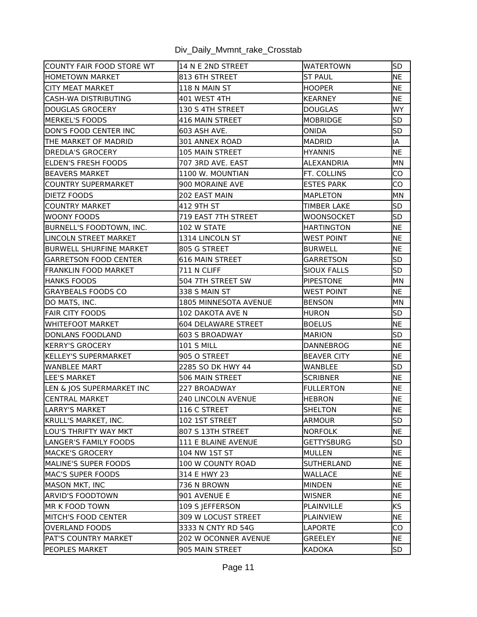| ICOUNTY FAIR FOOD STORE WT   | l14 N E 2ND STREET         | <b>WATERTOWN</b>   | lsd       |
|------------------------------|----------------------------|--------------------|-----------|
| HOMETOWN MARKET              | 813 6TH STREET             | <b>ST PAUL</b>     | <b>NE</b> |
| CITY MEAT MARKET             | 118 N MAIN ST              | <b>HOOPER</b>      | NE        |
| CASH-WA DISTRIBUTING         | 401 WEST 4TH               | <b>KEARNEY</b>     | NE        |
| DOUGLAS GROCERY              | 130 S 4TH STREET           | <b>DOUGLAS</b>     | WY        |
| IMERKEL'S FOODS              | <b>416 MAIN STREET</b>     | MOBRIDGE           | SD        |
| DON'S FOOD CENTER INC        | 603 ASH AVE.               | ONIDA              | SD        |
| THE MARKET OF MADRID         | 301 ANNEX ROAD             | <b>MADRID</b>      | IA        |
| <b>DREDLA'S GROCERY</b>      | 105 MAIN STREET            | <b>HYANNIS</b>     | <b>NE</b> |
| <b>ELDEN'S FRESH FOODS</b>   | 707 3RD AVE. EAST          | ALEXANDRIA         | МN        |
| <b>BEAVERS MARKET</b>        | 1100 W. MOUNTIAN           | FT. COLLINS        | CO        |
| ICOUNTRY SUPERMARKET         | 900 MORAINE AVE            | <b>ESTES PARK</b>  | CO        |
| <b>DIETZ FOODS</b>           | 202 EAST MAIN              | MAPLETON           | MN        |
| COUNTRY MARKET               | 412 9TH ST                 | <b>TIMBER LAKE</b> | SD        |
| WOONY FOODS                  | 719 EAST 7TH STREET        | WOONSOCKET         | <b>SD</b> |
| BURNELL'S FOODTOWN, INC.     | 102 W STATE                | <b>HARTINGTON</b>  | <b>NE</b> |
| LINCOLN STREET MARKET        | 1314 LINCOLN ST            | <b>WEST POINT</b>  | <b>NE</b> |
| BURWELL SHURFINE MARKET      | 805 G STREET               | <b>BURWELL</b>     | <b>NE</b> |
| <b>GARRETSON FOOD CENTER</b> | <b>616 MAIN STREET</b>     | GARRETSON          | <b>SD</b> |
| <b>FRANKLIN FOOD MARKET</b>  | 711 N CLIFF                | <b>SIOUX FALLS</b> | <b>SD</b> |
| <b>HANKS FOODS</b>           | 504 7TH STREET SW          | <b>PIPESTONE</b>   | IMN       |
| <b>GRAYBEALS FOODS CO</b>    | 338 S MAIN ST              | <b>WEST POINT</b>  | <b>NE</b> |
| DO MATS, INC.                | 1805 MINNESOTA AVENUE      | <b>BENSON</b>      | MN        |
| FAIR CITY FOODS              | 102 DAKOTA AVE N           | HURON              | lsd.      |
| WHITEFOOT MARKET             | <b>604 DELAWARE STREET</b> | <b>BOELUS</b>      | NE        |
| DONLANS FOODLAND             | <b>603 S BROADWAY</b>      | MARION             | <b>SD</b> |
| <b>KERRY'S GROCERY</b>       | <b>101 S MILL</b>          | DANNEBROG          | <b>NE</b> |
| KELLEY'S SUPERMARKET         | 905 O STREET               | <b>BEAVER CITY</b> | <b>NE</b> |
| <b>WANBLEE MART</b>          | 2285 SO DK HWY 44          | WANBLEE            | <b>SD</b> |
| <b>ILEE'S MARKET</b>         | 506 MAIN STREET            | <b>SCRIBNER</b>    | <b>NE</b> |
| LEN & JOS SUPERMARKET INC    | 227 BROADWAY               | <b>FULLERTON</b>   | <b>NE</b> |
| <b>CENTRAL MARKET</b>        | <b>240 LINCOLN AVENUE</b>  | <b>HEBRON</b>      | <b>NE</b> |
| LARRY'S MARKET               | 116 C STREET               | SHELTON            | <b>NE</b> |
| KRULL'S MARKET, INC.         | 102 1ST STREET             | ARMOUR             | <b>SD</b> |
| LOU'S THRIFTY WAY MKT        | 807 S 13TH STREET          | NORFOLK            | NE        |
| LANGER'S FAMILY FOODS        | 111 E BLAINE AVENUE        | <b>GETTYSBURG</b>  | <b>SD</b> |
| MACKE'S GROCERY              | 104 NW 1ST ST              | MULLEN             | <b>NE</b> |
| MALINE'S SUPER FOODS         | 100 W COUNTY ROAD          | <b>SUTHERLAND</b>  | <b>NE</b> |
| MAC'S SUPER FOODS            | 314 E HWY 23               | <b>WALLACE</b>     | <b>NE</b> |
| MASON MKT, INC               | 736 N BROWN                | MINDEN             | <b>NE</b> |
| ARVID'S FOODTOWN             | 901 AVENUE E               | <b>WISNER</b>      | INE.      |
| <b>IMR K FOOD TOWN</b>       | 109 S JEFFERSON            | PLAINVILLE         | <b>KS</b> |
| MITCH'S FOOD CENTER          | 309 W LOCUST STREET        | <b>PLAINVIEW</b>   | <b>NE</b> |
| OVERLAND FOODS               | 3333 N CNTY RD 54G         | LAPORTE            | CO        |
| PAT'S COUNTRY MARKET         | 202 W OCONNER AVENUE       | <b>GREELEY</b>     | <b>NE</b> |
| <b>PEOPLES MARKET</b>        | 905 MAIN STREET            | <b>KADOKA</b>      | <b>SD</b> |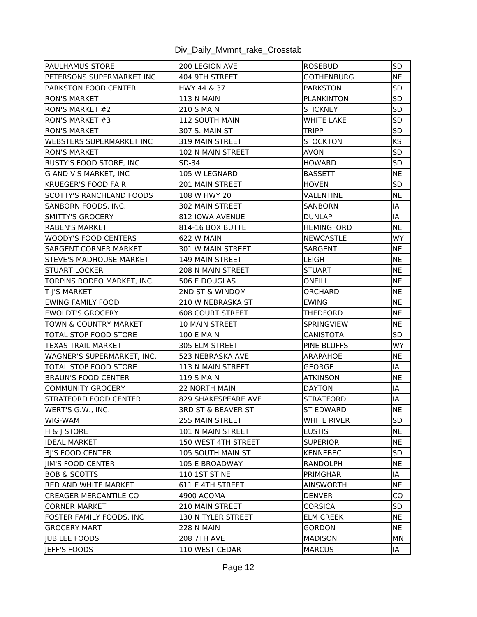| <b>PAULHAMUS STORE</b>          | 200 LEGION AVE                | <b>ROSEBUD</b>     | lsd       |
|---------------------------------|-------------------------------|--------------------|-----------|
| PETERSONS SUPERMARKET INC       | 404 9TH STREET                | <b>GOTHENBURG</b>  | <b>NE</b> |
| PARKSTON FOOD CENTER            | HWY 44 & 37                   | <b>PARKSTON</b>    | <b>SD</b> |
| <b>RON'S MARKET</b>             | <b>113 N MAIN</b>             | <b>PLANKINTON</b>  | <b>SD</b> |
| <b>RON'S MARKET #2</b>          | <b>210 S MAIN</b>             | <b>STICKNEY</b>    | <b>SD</b> |
| IRON'S MARKET #3                | 112 SOUTH MAIN                | <b>WHITE LAKE</b>  | <b>SD</b> |
| IRON'S MARKET                   | 307 S. MAIN ST                | TRIPP              | <b>SD</b> |
| <b>WEBSTERS SUPERMARKET INC</b> | 319 MAIN STREET               | <b>STOCKTON</b>    | <b>KS</b> |
| <b>RON'S MARKET</b>             | 102 N MAIN STREET             | AVON               | <b>SD</b> |
| RUSTY'S FOOD STORE, INC         | SD-34                         | <b>HOWARD</b>      | <b>SD</b> |
| <b>G AND V'S MARKET, INC</b>    | 105 W LEGNARD                 | <b>BASSETT</b>     | <b>NE</b> |
| <b>KRUEGER'S FOOD FAIR</b>      | 201 MAIN STREET               | <b>HOVEN</b>       | <b>SD</b> |
| <b>SCOTTY'S RANCHLAND FOODS</b> | 108 W HWY 20                  | VALENTINE          | <b>NE</b> |
| SANBORN FOODS, INC.             | 302 MAIN STREET               | <b>SANBORN</b>     | IA        |
| SMITTY'S GROCERY                | 812 IOWA AVENUE               | <b>DUNLAP</b>      | IA        |
| RABEN'S MARKET                  | 814-16 BOX BUTTE              | <b>HEMINGFORD</b>  | <b>NE</b> |
| WOODY'S FOOD CENTERS            | 622 W MAIN                    | <b>NEWCASTLE</b>   | <b>WY</b> |
| SARGENT CORNER MARKET           | 301 W MAIN STREET             | SARGENT            | <b>NE</b> |
| STEVE'S MADHOUSE MARKET         | <b>149 MAIN STREET</b>        | LEIGH              | <b>NE</b> |
| <b>STUART LOCKER</b>            | 208 N MAIN STREET             | <b>STUART</b>      | <b>NE</b> |
| TORPINS RODEO MARKET, INC.      | 506 E DOUGLAS                 | ONEILL             | <b>NE</b> |
| T-J'S MARKET                    | 2ND ST & WINDOM               | <b>ORCHARD</b>     | <b>NE</b> |
| EWING FAMILY FOOD               | 210 W NEBRASKA ST             | <b>EWING</b>       | <b>NE</b> |
| EWOLDT'S GROCERY                | <b>608 COURT STREET</b>       | THEDFORD           | <b>NE</b> |
| TOWN & COUNTRY MARKET           | <b>10 MAIN STREET</b>         | <b>SPRINGVIEW</b>  | <b>NE</b> |
| TOTAL STOP FOOD STORE           | <b>100 E MAIN</b>             | CANISTOTA          | <b>SD</b> |
| TEXAS TRAIL MARKET              | 305 ELM STREET                | <b>PINE BLUFFS</b> | <b>WY</b> |
| WAGNER'S SUPERMARKET, INC.      | 523 NEBRASKA AVE              | ARAPAHOE           | <b>NE</b> |
| TOTAL STOP FOOD STORE           | 113 N MAIN STREET             | <b>GEORGE</b>      | IA        |
| BRAUN'S FOOD CENTER             | <b>119 S MAIN</b>             | ATKINSON           | <b>NE</b> |
| COMMUNITY GROCERY               | <b>22 NORTH MAIN</b>          | <b>DAYTON</b>      | IA        |
| <b>STRATFORD FOOD CENTER</b>    | 829 SHAKESPEARE AVE           | <b>STRATFORD</b>   | IA        |
| WERT'S G.W., INC.               | <b>3RD ST &amp; BEAVER ST</b> | ST EDWARD          | <b>NE</b> |
| IWIG-WAM                        | 255 MAIN STREET               | WHITE RIVER        | <b>SD</b> |
| H & J STORE                     | 101 N MAIN STREET             | <b>EUSTIS</b>      | NE        |
| <b>IDEAL MARKET</b>             | 150 WEST 4TH STREET           | <b>SUPERIOR</b>    | <b>NE</b> |
| <b>BI'S FOOD CENTER</b>         | <b>105 SOUTH MAIN ST</b>      | KENNEBEC           | <b>SD</b> |
| <b>IIM'S FOOD CENTER</b>        | 105 E BROADWAY                | RANDOLPH           | <b>NE</b> |
| <b>BOB &amp; SCOTTS</b>         | 110 1ST ST NE                 | PRIMGHAR           | IA        |
| <b>RED AND WHITE MARKET</b>     | 611 E 4TH STREET              | AINSWORTH          | <b>NE</b> |
| CREAGER MERCANTILE CO           | 4900 ACOMA                    | <b>DENVER</b>      | CO        |
| CORNER MARKET                   | 210 MAIN STREET               | <b>CORSICA</b>     | SD        |
| FOSTER FAMILY FOODS, INC        | 130 N TYLER STREET            | <b>ELM CREEK</b>   | <b>NE</b> |
| <b>GROCERY MART</b>             | <b>228 N MAIN</b>             | GORDON             | <b>NE</b> |
| JUBILEE FOODS                   | <b>208 7TH AVE</b>            | MADISON            | MN        |
| JEFF'S FOODS                    | 110 WEST CEDAR                | <b>MARCUS</b>      | IA        |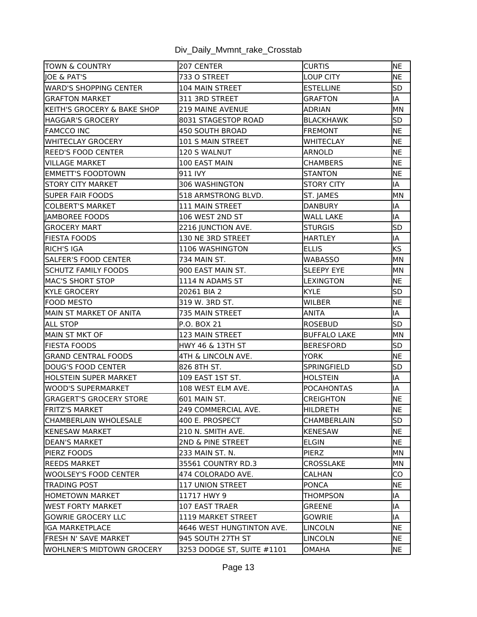| <b>TOWN &amp; COUNTRY</b>        | 207 CENTER                 | <b>CURTIS</b>       | <b>NE</b> |
|----------------------------------|----------------------------|---------------------|-----------|
| <b>JOE &amp; PAT'S</b>           | 733 O STREET               | <b>LOUP CITY</b>    | <b>NE</b> |
| WARD'S SHOPPING CENTER           | 104 MAIN STREET            | <b>ESTELLINE</b>    | <b>SD</b> |
| <b>IGRAFTON MARKET</b>           | 311 3RD STREET             | <b>GRAFTON</b>      | IA        |
| KEITH'S GROCERY & BAKE SHOP      | <b>219 MAINE AVENUE</b>    | <b>ADRIAN</b>       | MN        |
| HAGGAR'S GROCERY                 | 8031 STAGESTOP ROAD        | <b>BLACKHAWK</b>    | <b>SD</b> |
| <b>FAMCCO INC</b>                | 450 SOUTH BROAD            | <b>FREMONT</b>      | <b>NE</b> |
| <b>WHITECLAY GROCERY</b>         | 101 S MAIN STREET          | <b>WHITECLAY</b>    | <b>NE</b> |
| REED'S FOOD CENTER               | 120 S WALNUT               | ARNOLD              | <b>NE</b> |
| VILLAGE MARKET                   | 100 EAST MAIN              | CHAMBERS            | NE        |
| <b>EMMETT'S FOODTOWN</b>         | 911 IVY                    | <b>STANTON</b>      | <b>NE</b> |
| <b>STORY CITY MARKET</b>         | 306 WASHINGTON             | <b>STORY CITY</b>   | IA        |
| <b>SUPER FAIR FOODS</b>          | 518 ARMSTRONG BLVD.        | ST. JAMES           | MN        |
| COLBERT'S MARKET                 | 111 MAIN STREET            | <b>DANBURY</b>      | IA        |
| JAMBOREE FOODS                   | 106 WEST 2ND ST            | <b>WALL LAKE</b>    | IA        |
| IGROCERY MART                    | 2216 JUNCTION AVE.         | <b>STURGIS</b>      | <b>SD</b> |
| FIESTA FOODS                     | 130 NE 3RD STREET          | <b>HARTLEY</b>      | IA        |
| RICH'S IGA                       | 1106 WASHINGTON            | <b>ELLIS</b>        | <b>KS</b> |
| SALFER'S FOOD CENTER             | <b>734 MAIN ST.</b>        | <b>WABASSO</b>      | MN        |
| SCHUTZ FAMILY FOODS              | 900 EAST MAIN ST.          | <b>SLEEPY EYE</b>   | MN        |
| MAC'S SHORT STOP                 | 1114 N ADAMS ST            | <b>LEXINGTON</b>    | NE.       |
| KYLE GROCERY                     | 20261 BIA 2                | <b>KYLE</b>         | <b>SD</b> |
| <b>FOOD MESTO</b>                | 319 W. 3RD ST.             | WILBER              | <b>NE</b> |
| MAIN ST MARKET OF ANITA          | 735 MAIN STREET            | ANITA               | IA        |
| <b>ALL STOP</b>                  | P.O. BOX 21                | <b>ROSEBUD</b>      | lsd       |
| MAIN ST MKT OF                   | 123 MAIN STREET            | <b>BUFFALO LAKE</b> | MN        |
| <b>FIESTA FOODS</b>              | HWY 46 & 13TH ST           | <b>BERESFORD</b>    | <b>SD</b> |
| <b>GRAND CENTRAL FOODS</b>       | 4TH & LINCOLN AVE.         | <b>YORK</b>         | <b>NE</b> |
| DOUG'S FOOD CENTER               | 826 8TH ST.                | <b>SPRINGFIELD</b>  | <b>SD</b> |
| HOLSTEIN SUPER MARKET            | 109 EAST 1ST ST.           | <b>HOLSTEIN</b>     | IA        |
| WOOD'S SUPERMARKET               | 108 WEST ELM AVE.          | <b>POCAHONTAS</b>   | IA        |
| <b>GRAGERT'S GROCERY STORE</b>   | 601 MAIN ST.               | <b>CREIGHTON</b>    | <b>NE</b> |
| FRITZ'S MARKET                   | 249 COMMERCIAL AVE.        | <b>HILDRETH</b>     | <b>NE</b> |
| ICHAMBERLAIN WHOLESALE           | 400 E. PROSPECT            | CHAMBERLAIN         | lsd.      |
| <b>KENESAW MARKET</b>            | 210 N. SMITH AVE.          | <b>KENESAW</b>      | NE        |
| IDEAN'S MARKET                   | 2ND & PINE STREET          | <b>ELGIN</b>        | NE        |
| PIERZ FOODS                      | 233 MAIN ST. N.            | PIERZ               | <b>MN</b> |
| <b>REEDS MARKET</b>              | 35561 COUNTRY RD.3         | CROSSLAKE           | MN        |
| lwoolsey's food Center           | 474 COLORADO AVE.          | CALHAN              | CO        |
| TRADING POST                     | 117 UNION STREET           | <b>PONCA</b>        | NE        |
| IHOMETOWN MARKET                 | 11717 HWY 9                | THOMPSON            | lIA       |
| IWEST FORTY MARKET               | 107 EAST TRAER             | <b>GREENE</b>       | IA        |
| lgowrie grocery llc              | 1119 MARKET STREET         | GOWRIE              | IA        |
| lIGA MARKETPLACE                 | 4646 WEST HUNGTINTON AVE.  | LINCOLN             | <b>NE</b> |
| <b>FRESH N' SAVE MARKET</b>      | 945 SOUTH 27TH ST          | <b>LINCOLN</b>      | <b>NE</b> |
| <b>WOHLNER'S MIDTOWN GROCERY</b> | 3253 DODGE ST, SUITE #1101 | OMAHA               | <b>NE</b> |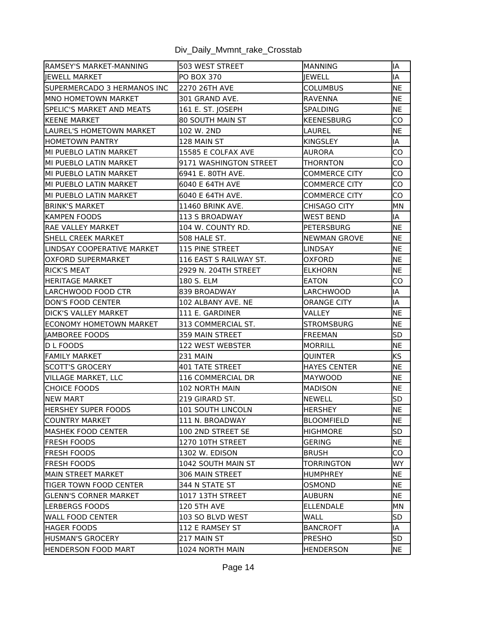| RAMSEY'S MARKET-MANNING        | 503 WEST STREET         | <b>MANNING</b>       | IA         |
|--------------------------------|-------------------------|----------------------|------------|
| liewell Market                 | <b>PO BOX 370</b>       | IEWELL               | IA         |
| ISUPERMERCADO 3 HERMANOS INC   | 2270 26TH AVE           | COLUMBUS             | <b>NE</b>  |
| <b>IMNO HOMETOWN MARKET</b>    | 301 GRAND AVE.          | <b>RAVENNA</b>       | <b>NE</b>  |
| SPELIC'S MARKET AND MEATS      | 161 E. ST. JOSEPH       | <b>SPALDING</b>      | <b>NE</b>  |
| IKEENE MARKET                  | <b>80 SOUTH MAIN ST</b> | <b>KEENESBURG</b>    | CO         |
| LAUREL'S HOMETOWN MARKET       | 102 W. 2ND              | LAUREL               | NE         |
| <b>HOMETOWN PANTRY</b>         | 128 MAIN ST             | <b>KINGSLEY</b>      | IA         |
| MI PUEBLO LATIN MARKET         | 15585 E COLFAX AVE      | AURORA               | <b>CO</b>  |
| MI PUEBLO LATIN MARKET         | 9171 WASHINGTON STREET  | THORNTON             | CO         |
| MI PUEBLO LATIN MARKET         | 6941 E. 80TH AVE.       | <b>COMMERCE CITY</b> | CO         |
| MI PUEBLO LATIN MARKET         | 6040 E 64TH AVE         | COMMERCE CITY        | CO         |
| MI PUEBLO LATIN MARKET         | 6040 E 64TH AVE.        | COMMERCE CITY        | CO         |
| <b>IBRINK'S MARKET</b>         | 11460 BRINK AVE.        | <b>CHISAGO CITY</b>  | MN         |
| <b>KAMPEN FOODS</b>            | 113 S BROADWAY          | <b>WEST BEND</b>     | IA         |
| RAE VALLEY MARKET              | 104 W. COUNTY RD.       | <b>PETERSBURG</b>    | <b>NE</b>  |
| ISHELL CREEK MARKET            | 508 HALE ST.            | NEWMAN GROVE         | <b>NE</b>  |
| LINDSAY COOPERATIVE MARKET     | <b>115 PINE STREET</b>  | <b>LINDSAY</b>       | <b>NE</b>  |
| lOXFORD SUPERMARKET            | 116 EAST S RAILWAY ST.  | <b>OXFORD</b>        | <b>NE</b>  |
| IRICK'S MEAT                   | 2929 N. 204TH STREET    | <b>ELKHORN</b>       | <b>NE</b>  |
| IHERITAGE MARKET               | 180 S. ELM              | <b>EATON</b>         | CO         |
| LARCHWOOD FOOD CTR             | 839 BROADWAY            | LARCHWOOD            | IA         |
| DON'S FOOD CENTER              | 102 ALBANY AVE. NE      | ORANGE CITY          | IA         |
| <b>IDICK'S VALLEY MARKET</b>   | 111 E. GARDINER         | VALLEY               | NE         |
| <b>ECONOMY HOMETOWN MARKET</b> | 313 COMMERCIAL ST.      | <b>STROMSBURG</b>    | <b>NE</b>  |
| JAMBOREE FOODS                 | 359 MAIN STREET         | <b>FREEMAN</b>       | <b>SD</b>  |
| D L FOODS                      | 122 WEST WEBSTER        | <b>MORRILL</b>       | <b>NE</b>  |
| <b>FAMILY MARKET</b>           | <b>231 MAIN</b>         | QUINTER              | KS         |
| SCOTT'S GROCERY                | 401 TATE STREET         | <b>HAYES CENTER</b>  | <b>NE</b>  |
| VILLAGE MARKET, LLC            | 116 COMMERCIAL DR       | <b>MAYWOOD</b>       | <b>NE</b>  |
| <b>CHOICE FOODS</b>            | 102 NORTH MAIN          | MADISON              | <b>INE</b> |
| <b>NEW MART</b>                | 219 GIRARD ST.          | <b>NEWELL</b>        | <b>SD</b>  |
| <b>HERSHEY SUPER FOODS</b>     | 101 SOUTH LINCOLN       | <b>HERSHEY</b>       | <b>NE</b>  |
| ICOUNTRY MARKET                | 111 N. BROADWAY         | BLOOMFIELD           | <b>INE</b> |
| MASHEK FOOD CENTER             | 100 2ND STREET SE       | <b>HIGHMORE</b>      | <b>SD</b>  |
| IFRESH FOODS                   | 1270 10TH STREET        | <b>GERING</b>        | <b>NE</b>  |
| FRESH FOODS                    | 1302 W. EDISON          | <b>BRUSH</b>         | CO         |
| FRESH FOODS                    | 1042 SOUTH MAIN ST      | TORRINGTON           | WY.        |
| IMAIN STREET MARKET            | 306 MAIN STREET         | HUMPHREY             | NE         |
| TIGER TOWN FOOD CENTER         | 344 N STATE ST          | OSMOND               | <b>NE</b>  |
| IGLENN'S CORNER MARKET         | 1017 13TH STREET        | <b>AUBURN</b>        | <b>NE</b>  |
| <b>ILERBERGS FOODS</b>         | <b>120 5TH AVE</b>      | <b>ELLENDALE</b>     | IMN        |
| lWALL FOOD CENTER              | 103 SO BLVD WEST        | WALL                 | <b>SD</b>  |
| <b>HAGER FOODS</b>             | 112 E RAMSEY ST         | <b>BANCROFT</b>      | IA         |
| HUSMAN'S GROCERY               | 217 MAIN ST             | PRESHO               | <b>SD</b>  |
| <b>HENDERSON FOOD MART</b>     | 1024 NORTH MAIN         | HENDERSON            | <b>NE</b>  |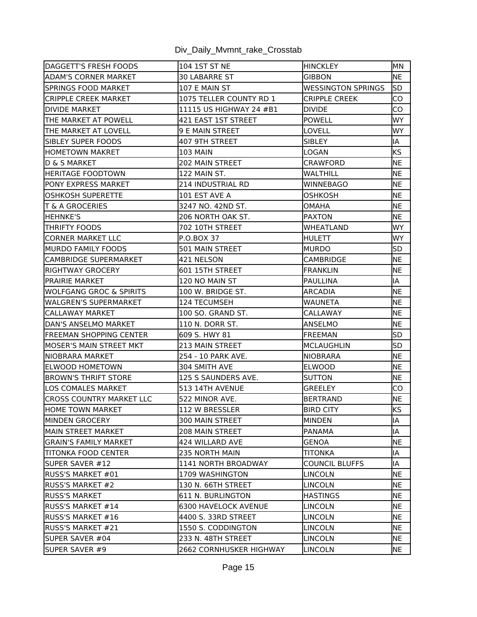| DAGGETT'S FRESH FOODS           | 104 1ST ST NE            | <b>HINCKLEY</b>           | MN        |
|---------------------------------|--------------------------|---------------------------|-----------|
| <b>ADAM'S CORNER MARKET</b>     | <b>30 LABARRE ST</b>     | GIBBON                    | <b>NE</b> |
| SPRINGS FOOD MARKET             | 107 E MAIN ST            | <b>WESSINGTON SPRINGS</b> | lsd       |
| <b>CRIPPLE CREEK MARKET</b>     | 1075 TELLER COUNTY RD 1  | <b>CRIPPLE CREEK</b>      | CO        |
| <b>DIVIDE MARKET</b>            | 11115 US HIGHWAY 24 #B1  | <b>DIVIDE</b>             | CO        |
| ITHE MARKET AT POWELL           | 421 EAST 1ST STREET      | <b>POWELL</b>             | <b>WY</b> |
| ITHE MARKET AT LOVELL           | 9 E MAIN STREET          | LOVELL                    | WY.       |
| <b>SIBLEY SUPER FOODS</b>       | 407 9TH STREET           | <b>SIBLEY</b>             | IA        |
| HOMETOWN MAKRET                 | <b>103 MAIN</b>          | LOGAN                     | <b>KS</b> |
| ID & S MARKET                   | 202 MAIN STREET          | CRAWFORD                  | <b>NE</b> |
| lHERITAGE FOODTOWN              | 122 MAIN ST.             | WALTHILL                  | <b>NE</b> |
| PONY EXPRESS MARKET             | <b>214 INDUSTRIAL RD</b> | WINNEBAGO                 | <b>NE</b> |
| IOSHKOSH SUPERETTE              | 101 EST AVE A            | OSHKOSH                   | <b>NE</b> |
| <b>T &amp; A GROCERIES</b>      | 3247 NO. 42ND ST.        | OMAHA                     | <b>NE</b> |
| <b>HEHNKE'S</b>                 | 206 NORTH OAK ST.        | <b>PAXTON</b>             | NE        |
| <b>THRIFTY FOODS</b>            | 702 10TH STREET          | <b>WHEATLAND</b>          | <b>WY</b> |
| ICORNER MARKET LLC              | P.O.BOX 37               | HULETT                    | WY.       |
| IMURDO FAMILY FOODS             | 501 MAIN STREET          | <b>MURDO</b>              | <b>SD</b> |
| CAMBRIDGE SUPERMARKET           | 421 NELSON               | CAMBRIDGE                 | NE        |
| <b>RIGHTWAY GROCERY</b>         | 601 15TH STREET          | FRANKLIN                  | NE        |
| IPRAIRIE MARKET                 | 120 NO MAIN ST           | PAULLINA                  | IA        |
| WOLFGANG GROC & SPIRITS         | 100 W. BRIDGE ST.        | <b>ARCADIA</b>            | <b>NE</b> |
| lWALGREN'S SUPERMARKET          | 124 TECUMSEH             | <b>WAUNETA</b>            | <b>NE</b> |
| ICALLAWAY MARKET                | 100 SO. GRAND ST.        | CALLAWAY                  | NE        |
| IDAN'S ANSELMO MARKET           | 110 N. DORR ST.          | ANSELMO                   | <b>NE</b> |
| FREEMAN SHOPPING CENTER         | 609 S. HWY 81            | FREEMAN                   | <b>SD</b> |
| MOSER'S MAIN STREET MKT         | 213 MAIN STREET          | MCLAUGHLIN                | <b>SD</b> |
| INIOBRARA MARKET                | 254 - 10 PARK AVE.       | <b>NIOBRARA</b>           | <b>NE</b> |
| <b>ELWOOD HOMETOWN</b>          | 304 SMITH AVE            | <b>ELWOOD</b>             | <b>NE</b> |
| <b>BROWN'S THRIFT STORE</b>     | 125 S SAUNDERS AVE.      | <b>SUTTON</b>             | <b>NE</b> |
| <b>LOS COMALES MARKET</b>       | 513 14TH AVENUE          | <b>GREELEY</b>            | CO        |
| <b>CROSS COUNTRY MARKET LLC</b> | 522 MINOR AVE.           | <b>BERTRAND</b>           | <b>NE</b> |
| HOME TOWN MARKET                | 112 W BRESSLER           | <b>BIRD CITY</b>          | <b>KS</b> |
| <b>MINDEN GROCERY</b>           | 300 MAIN STREET          | MINDEN                    | IA        |
| MAIN STREET MARKET              | 208 MAIN STREET          | PANAMA                    | IA        |
| IGRAIN'S FAMILY MARKET          | 424 WILLARD AVE          | GENOA                     | NE        |
| ITITONKA FOOD CENTER            | 235 NORTH MAIN           | TITONKA                   | IA        |
| SUPER SAVER #12                 | 1141 NORTH BROADWAY      | <b>COUNCIL BLUFFS</b>     | lIA.      |
| RUSS'S MARKET #01               | 1709 WASHINGTON          | LINCOLN                   | <b>NE</b> |
| IRUSS'S MARKET #2               | 130 N. 66TH STREET       | LINCOLN                   | <b>NE</b> |
| <b>RUSS'S MARKET</b>            | 611 N. BURLINGTON        | HASTINGS                  | INE.      |
| RUSS'S MARKET #14               | 6300 HAVELOCK AVENUE     | <b>LINCOLN</b>            | NE        |
| <b>IRUSS'S MARKET #16</b>       | 4400 S. 33RD STREET      | LINCOLN                   | <b>NE</b> |
| <b>IRUSS'S MARKET #21</b>       | 1550 S. CODDINGTON       | LINCOLN                   | INE.      |
| SUPER SAVER #04                 | 233 N. 48TH STREET       | LINCOLN                   | <b>NE</b> |
| SUPER SAVER #9                  | 2662 CORNHUSKER HIGHWAY  | LINCOLN                   | NE        |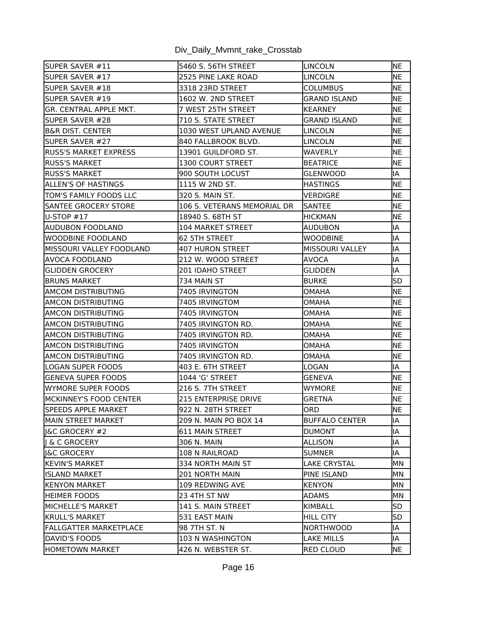| SUPER SAVER #11                 | 5460 S. 56TH STREET         | LINCOLN                | NE         |
|---------------------------------|-----------------------------|------------------------|------------|
| ISUPER SAVER #17                | 2525 PINE LAKE ROAD         | <b>LINCOLN</b>         | <b>NE</b>  |
| SUPER SAVER #18                 | 3318 23RD STREET            | <b>COLUMBUS</b>        | <b>NE</b>  |
| ISUPER SAVER #19                | 1602 W. 2ND STREET          | <b>GRAND ISLAND</b>    | <b>NE</b>  |
| lgr. CENTRAL APPLE MKT.         | 7 WEST 25TH STREET          | <b>KEARNEY</b>         | NE         |
| SUPER SAVER #28                 | 710 S. STATE STREET         | GRAND ISLAND           | <b>NE</b>  |
| IB&R DIST. CENTER               | 1030 WEST UPLAND AVENUE     | LINCOLN                | <b>NE</b>  |
| SUPER SAVER #27                 | 840 FALLBROOK BLVD.         | LINCOLN                | <b>NE</b>  |
| IRUSS'S MARKET EXPRESS          | 13901 GUILDFORD ST.         | <b>WAVERLY</b>         | <b>NE</b>  |
| <b>IRUSS'S MARKET</b>           | 1300 COURT STREET           | <b>BEATRICE</b>        | NE         |
| <b>RUSS'S MARKET</b>            | 900 SOUTH LOCUST            | GLENWOOD               | IA         |
| lallen's OF HASTINGS            | 1115 W 2ND ST.              | <b>HASTINGS</b>        | NE         |
| <b>TOM'S FAMILY FOODS LLC</b>   | 320 S. MAIN ST.             | VERDIGRE               | <b>NE</b>  |
| <b>SANTEE GROCERY STORE</b>     | 106 S. VETERANS MEMORIAL DR | ISANTEE                | <b>NE</b>  |
| $U-STOP$ #17                    | 18940 S. 68TH ST            | <b>HICKMAN</b>         | <b>NE</b>  |
| IAUDUBON FOODLAND               | <b>104 MARKET STREET</b>    | <b>AUDUBON</b>         | IA         |
| IWOODBINE FOODLAND              | 62 5TH STREET               | <b>WOODBINE</b>        | İΙA        |
| <b>MISSOURI VALLEY FOODLAND</b> | <b>407 HURON STREET</b>     | <b>MISSOURI VALLEY</b> | IA         |
| IAVOCA FOODLAND                 | 212 W. WOOD STREET          | <b>AVOCA</b>           | İΙA        |
| IGLIDDEN GROCERY                | 201 IDAHO STREET            | GLIDDEN                | İΑ         |
| <b>BRUNS MARKET</b>             | 734 MAIN ST                 | <b>BURKE</b>           | <b>SD</b>  |
| IAMCOM DISTRIBUTING             | 7405 IRVINGTON              | <b>OMAHA</b>           | <b>NE</b>  |
| AMCON DISTRIBUTING              | 7405 IRVINGTOM              | OMAHA                  | ΝE         |
| AMCON DISTRIBUTING              | 7405 IRVINGTON              | OMAHA                  | <b>NE</b>  |
| AMCON DISTRIBUTING              | 7405 IRVINGTON RD.          | <b>OMAHA</b>           | <b>NE</b>  |
| IAMCON DISTRIBUTING             | 7405 IRVINGTON RD.          | <b>OMAHA</b>           | <b>NE</b>  |
| AMCON DISTRIBUTING              | 7405 IRVINGTON              | OMAHA                  | <b>INE</b> |
| AMCON DISTRIBUTING              | 7405 IRVINGTON RD.          | <b>OMAHA</b>           | <b>NE</b>  |
| LOGAN SUPER FOODS               | 403 E. 6TH STREET           | LOGAN                  | IA         |
| <b>GENEVA SUPER FOODS</b>       | 1044 'G' STREET             | <b>GENEVA</b>          | <b>NE</b>  |
| WYMORE SUPER FOODS              | 216 S. 7TH STREET           | <b>WYMORE</b>          | <b>NE</b>  |
| MCKINNEY'S FOOD CENTER          | 215 ENTERPRISE DRIVE        | <b>GRETNA</b>          | <b>NE</b>  |
| SPEEDS APPLE MARKET             | 922 N. 28TH STREET          | ORD                    | <b>NE</b>  |
| <b>IMAIN STREET MARKET</b>      | 209 N. MAIN PO BOX 14       | <b>BUFFALO CENTER</b>  | lΙA        |
| I&C GROCERY #2                  | <b>611 MAIN STREET</b>      | DUMONT                 | IA         |
| & C GROCERY                     | 306 N. MAIN                 | ALLISON                | IA         |
| ll&C GROCERY                    | 108 N RAILROAD              | SUMNER                 | IA         |
| <b>KEVIN'S MARKET</b>           | 334 NORTH MAIN ST           | <b>LAKE CRYSTAL</b>    | MN         |
| IISLAND MARKET                  | 201 NORTH MAIN              | <b>PINE ISLAND</b>     | MN         |
| <b>KENYON MARKET</b>            | 109 REDWING AVE             | KENYON                 | MN         |
| <b>HEIMER FOODS</b>             | 23 4TH ST NW                | <b>ADAMS</b>           | MN         |
| MICHELLE'S MARKET               | 141 S. MAIN STREET          | KIMBALL                | <b>SD</b>  |
| KRULL'S MARKET                  | 531 EAST MAIN               | <b>HILL CITY</b>       | lsd        |
| FALLGATTER MARKETPLACE          | 98 7TH ST. N                | NORTHWOOD              | IA         |
| DAVID'S FOODS                   | 103 N WASHINGTON            | <b>LAKE MILLS</b>      | IA         |
| HOMETOWN MARKET                 | 426 N. WEBSTER ST.          | <b>RED CLOUD</b>       | <b>NE</b>  |